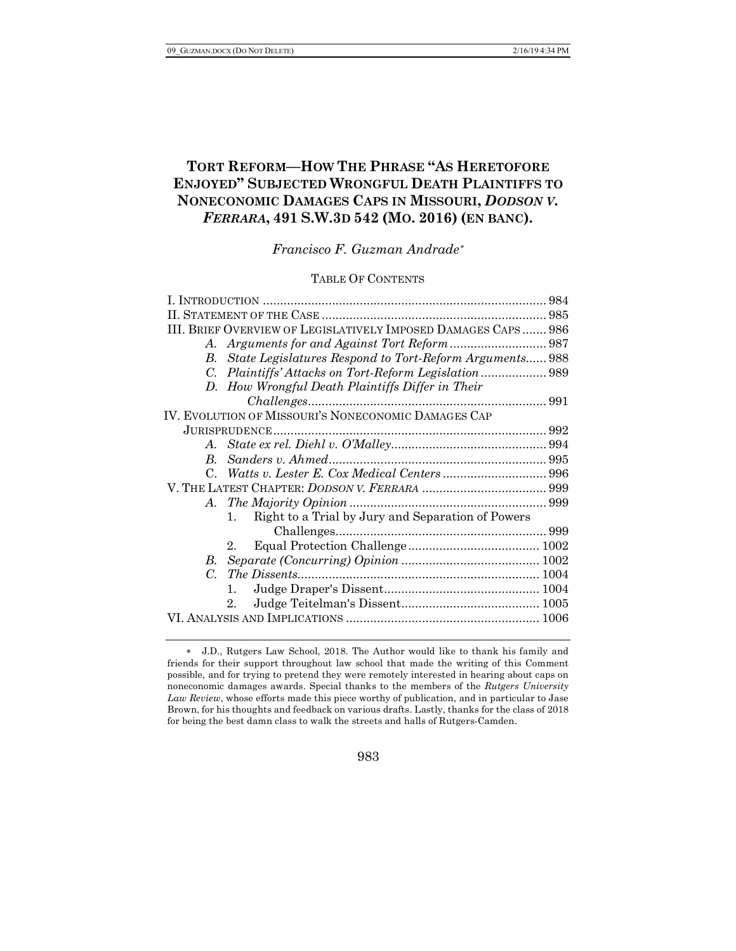# **TORT REFORM—HOW THE PHRASE "AS HERETOFORE ENJOYED" SUBJECTED WRONGFUL DEATH PLAINTIFFS TO NONECONOMIC DAMAGES CAPS IN MISSOURI,** *DODSON V. FERRARA***, 491 S.W.3D 542 (MO. 2016) (EN BANC).**

*Francisco F. Guzman Andrade*\*

### TABLE OF CONTENTS

|             | III. BRIEF OVERVIEW OF LEGISLATIVELY IMPOSED DAMAGES CAPS 986 |  |
|-------------|---------------------------------------------------------------|--|
| A.          |                                                               |  |
| B.          | State Legislatures Respond to Tort-Reform Arguments 988       |  |
| C.          |                                                               |  |
|             | D. How Wrongful Death Plaintiffs Differ in Their              |  |
|             |                                                               |  |
|             | IV. EVOLUTION OF MISSOURI'S NONECONOMIC DAMAGES CAP           |  |
|             |                                                               |  |
| $A_{-}$     |                                                               |  |
| B.          |                                                               |  |
| $C_{\cdot}$ |                                                               |  |
|             |                                                               |  |
|             |                                                               |  |
|             | Right to a Trial by Jury and Separation of Powers<br>$1_{-}$  |  |
|             |                                                               |  |
|             | $2_{-}$                                                       |  |
| В.          |                                                               |  |
| $C_{\cdot}$ |                                                               |  |
|             | $\mathbf{1}$                                                  |  |
|             | 2.                                                            |  |
|             |                                                               |  |
|             |                                                               |  |

<sup>\*</sup> J.D., Rutgers Law School, 2018. The Author would like to thank his family and friends for their support throughout law school that made the writing of this Comment possible, and for trying to pretend they were remotely interested in hearing about caps on noneconomic damages awards. Special thanks to the members of the *Rutgers University Law Review*, whose efforts made this piece worthy of publication, and in particular to Jase Brown, for his thoughts and feedback on various drafts. Lastly, thanks for the class of 2018 for being the best damn class to walk the streets and halls of Rutgers-Camden.

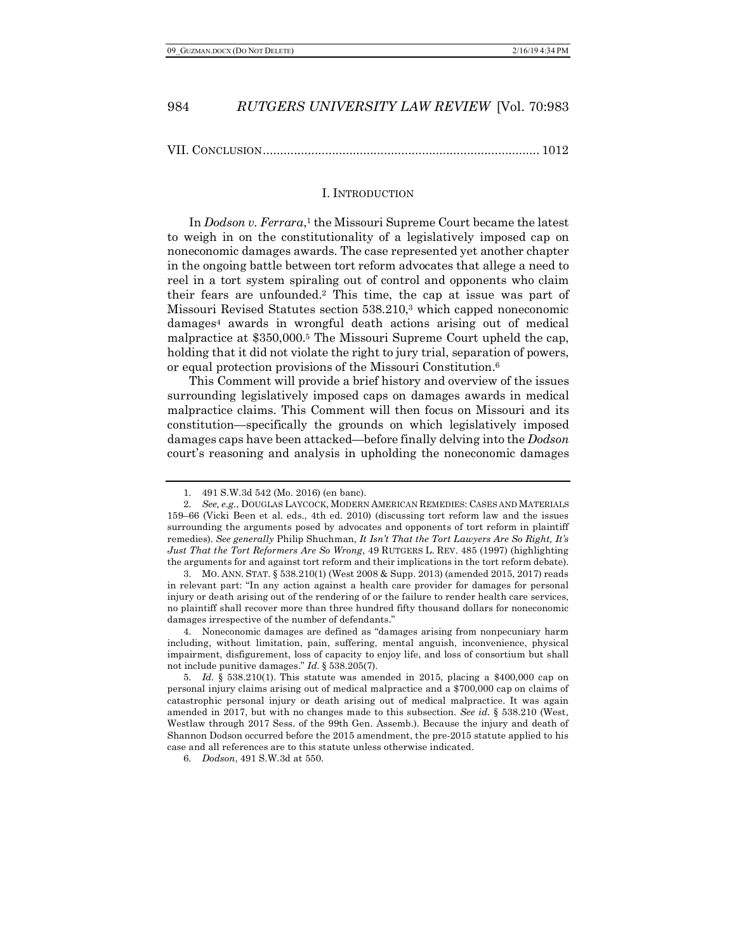VII. CONCLUSION................................................................................ 1012

#### I. INTRODUCTION

In *Dodson v. Ferrara*,<sup>1</sup> the Missouri Supreme Court became the latest to weigh in on the constitutionality of a legislatively imposed cap on noneconomic damages awards. The case represented yet another chapter in the ongoing battle between tort reform advocates that allege a need to reel in a tort system spiraling out of control and opponents who claim their fears are unfounded.2 This time, the cap at issue was part of Missouri Revised Statutes section 538.210,3 which capped noneconomic damages4 awards in wrongful death actions arising out of medical malpractice at \$350,000.5 The Missouri Supreme Court upheld the cap, holding that it did not violate the right to jury trial, separation of powers, or equal protection provisions of the Missouri Constitution.6

This Comment will provide a brief history and overview of the issues surrounding legislatively imposed caps on damages awards in medical malpractice claims. This Comment will then focus on Missouri and its constitution—specifically the grounds on which legislatively imposed damages caps have been attacked—before finally delving into the *Dodson* court's reasoning and analysis in upholding the noneconomic damages

3. MO. ANN. STAT. § 538.210(1) (West 2008 & Supp. 2013) (amended 2015, 2017) reads in relevant part: "In any action against a health care provider for damages for personal injury or death arising out of the rendering of or the failure to render health care services, no plaintiff shall recover more than three hundred fifty thousand dollars for noneconomic damages irrespective of the number of defendants."

4. Noneconomic damages are defined as "damages arising from nonpecuniary harm including, without limitation, pain, suffering, mental anguish, inconvenience, physical impairment, disfigurement, loss of capacity to enjoy life, and loss of consortium but shall not include punitive damages." *Id.* § 538.205(7).

<sup>1.</sup> 491 S.W.3d 542 (Mo. 2016) (en banc).

<sup>2.</sup> *See, e.g.*, DOUGLAS LAYCOCK, MODERN AMERICAN REMEDIES: CASES AND MATERIALS 159–66 (Vicki Been et al. eds., 4th ed. 2010) (discussing tort reform law and the issues surrounding the arguments posed by advocates and opponents of tort reform in plaintiff remedies). *See generally* Philip Shuchman, *It Isn't That the Tort Lawyers Are So Right, It's Just That the Tort Reformers Are So Wrong*, 49 RUTGERS L. REV. 485 (1997) (highlighting the arguments for and against tort reform and their implications in the tort reform debate).

<sup>5.</sup> *Id.* § 538.210(1). This statute was amended in 2015, placing a \$400,000 cap on personal injury claims arising out of medical malpractice and a \$700,000 cap on claims of catastrophic personal injury or death arising out of medical malpractice. It was again amended in 2017, but with no changes made to this subsection. *See id.* § 538.210 (West, Westlaw through 2017 Sess. of the 99th Gen. Assemb.). Because the injury and death of Shannon Dodson occurred before the 2015 amendment, the pre-2015 statute applied to his case and all references are to this statute unless otherwise indicated.

<sup>6.</sup> *Dodson*, 491 S.W.3d at 550.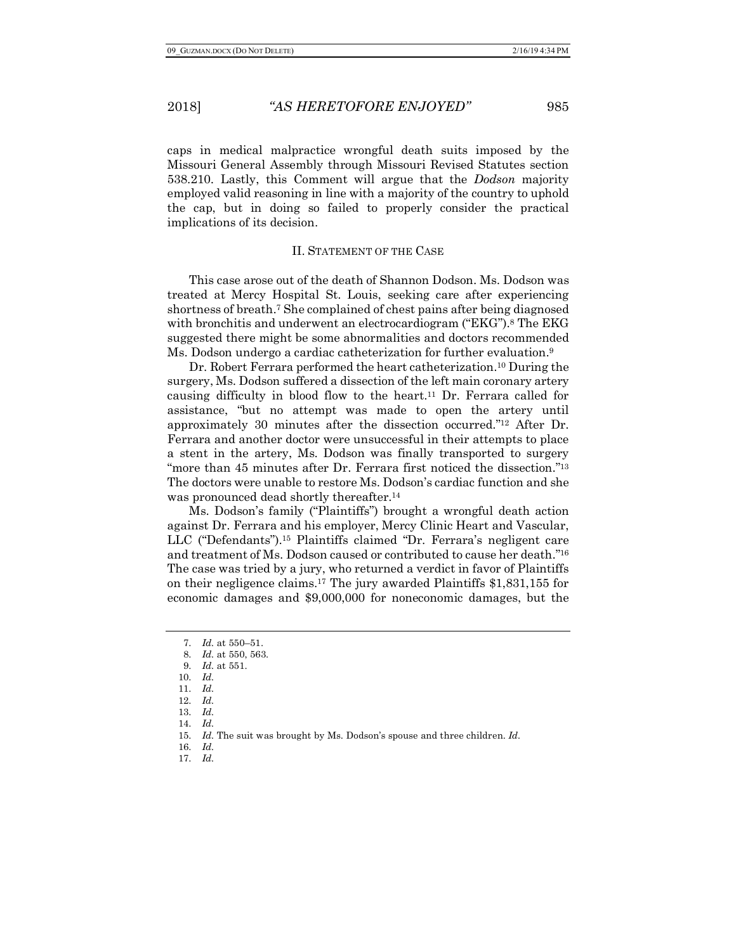caps in medical malpractice wrongful death suits imposed by the Missouri General Assembly through Missouri Revised Statutes section 538.210. Lastly, this Comment will argue that the *Dodson* majority employed valid reasoning in line with a majority of the country to uphold the cap, but in doing so failed to properly consider the practical implications of its decision.

### II. STATEMENT OF THE CASE

This case arose out of the death of Shannon Dodson. Ms. Dodson was treated at Mercy Hospital St. Louis, seeking care after experiencing shortness of breath.7 She complained of chest pains after being diagnosed with bronchitis and underwent an electrocardiogram ("EKG").<sup>8</sup> The EKG suggested there might be some abnormalities and doctors recommended Ms. Dodson undergo a cardiac catheterization for further evaluation.9

Dr. Robert Ferrara performed the heart catheterization.10 During the surgery, Ms. Dodson suffered a dissection of the left main coronary artery causing difficulty in blood flow to the heart.11 Dr. Ferrara called for assistance, "but no attempt was made to open the artery until approximately 30 minutes after the dissection occurred."12 After Dr. Ferrara and another doctor were unsuccessful in their attempts to place a stent in the artery, Ms. Dodson was finally transported to surgery "more than 45 minutes after Dr. Ferrara first noticed the dissection."<sup>13</sup> The doctors were unable to restore Ms. Dodson's cardiac function and she was pronounced dead shortly thereafter.14

Ms. Dodson's family ("Plaintiffs") brought a wrongful death action against Dr. Ferrara and his employer, Mercy Clinic Heart and Vascular, LLC ("Defendants").15 Plaintiffs claimed "Dr. Ferrara's negligent care and treatment of Ms. Dodson caused or contributed to cause her death."16 The case was tried by a jury, who returned a verdict in favor of Plaintiffs on their negligence claims.17 The jury awarded Plaintiffs \$1,831,155 for economic damages and \$9,000,000 for noneconomic damages, but the

16. *Id.* 17. *Id.*

<sup>7.</sup> *Id.* at 550–51.

<sup>8.</sup> *Id.* at 550, 563.

<sup>9.</sup> *Id.* at 551. 10. *Id.*

<sup>11.</sup> *Id.*

<sup>12.</sup> *Id.*

<sup>13.</sup> *Id.*

<sup>14.</sup> *Id.*

<sup>15.</sup> *Id.* The suit was brought by Ms. Dodson's spouse and three children. *Id.*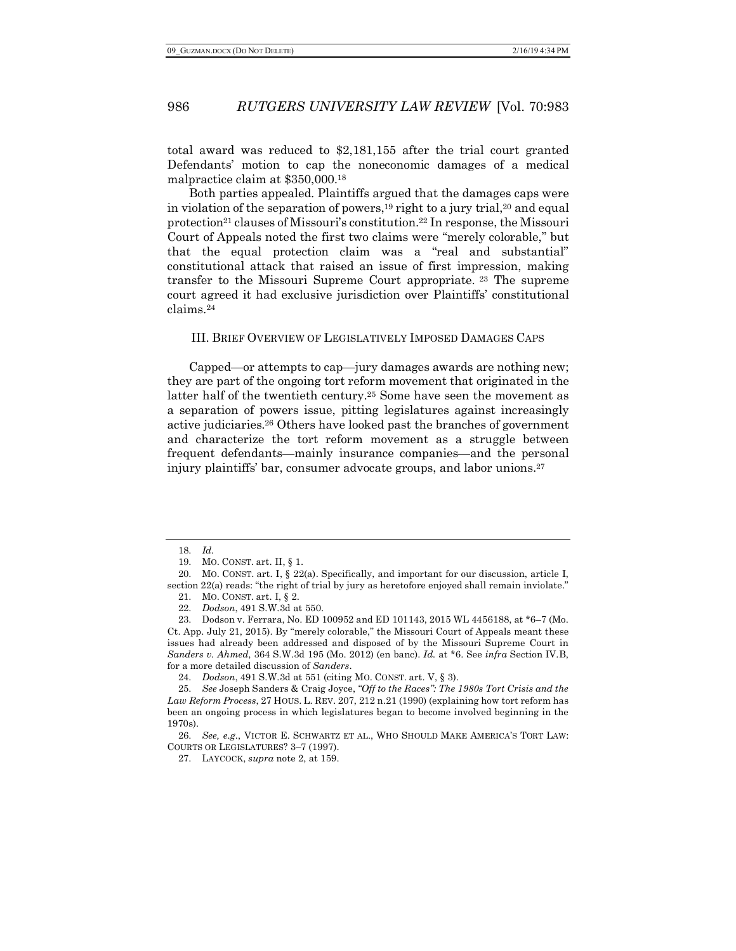total award was reduced to \$2,181,155 after the trial court granted Defendants' motion to cap the noneconomic damages of a medical malpractice claim at \$350,000.18

Both parties appealed. Plaintiffs argued that the damages caps were in violation of the separation of powers,<sup>19</sup> right to a jury trial,<sup>20</sup> and equal protection<sup>21</sup> clauses of Missouri's constitution.<sup>22</sup> In response, the Missouri Court of Appeals noted the first two claims were "merely colorable," but that the equal protection claim was a "real and substantial" constitutional attack that raised an issue of first impression, making transfer to the Missouri Supreme Court appropriate. <sup>23</sup> The supreme court agreed it had exclusive jurisdiction over Plaintiffs' constitutional claims.24

#### III. BRIEF OVERVIEW OF LEGISLATIVELY IMPOSED DAMAGES CAPS

Capped—or attempts to cap—jury damages awards are nothing new; they are part of the ongoing tort reform movement that originated in the latter half of the twentieth century.<sup>25</sup> Some have seen the movement as a separation of powers issue, pitting legislatures against increasingly active judiciaries.26 Others have looked past the branches of government and characterize the tort reform movement as a struggle between frequent defendants—mainly insurance companies—and the personal injury plaintiffs' bar, consumer advocate groups, and labor unions.27

<sup>18.</sup> *Id.*

<sup>19.</sup> MO. CONST. art. II, § 1.

<sup>20.</sup> MO. CONST. art. I, § 22(a). Specifically, and important for our discussion, article I, section 22(a) reads: "the right of trial by jury as heretofore enjoyed shall remain inviolate."

<sup>21.</sup> MO. CONST. art. I, § 2.

<sup>22.</sup> *Dodson*, 491 S.W.3d at 550.

<sup>23.</sup> Dodson v. Ferrara, No. ED 100952 and ED 101143, 2015 WL 4456188, at \*6–7 (Mo. Ct. App. July 21, 2015). By "merely colorable," the Missouri Court of Appeals meant these issues had already been addressed and disposed of by the Missouri Supreme Court in *Sanders v. Ahmed*, 364 S.W.3d 195 (Mo. 2012) (en banc). *Id.* at \*6. See *infra* Section IV.B, for a more detailed discussion of *Sanders*.

<sup>24.</sup> *Dodson*, 491 S.W.3d at 551 (citing MO. CONST. art. V, § 3).

<sup>25.</sup> *See* Joseph Sanders & Craig Joyce, *"Off to the Races": The 1980s Tort Crisis and the Law Reform Process*, 27 HOUS. L. REV. 207, 212 n.21 (1990) (explaining how tort reform has been an ongoing process in which legislatures began to become involved beginning in the 1970s).

<sup>26.</sup> *See, e.g.*, VICTOR E. SCHWARTZ ET AL., WHO SHOULD MAKE AMERICA'S TORT LAW: COURTS OR LEGISLATURES? 3–7 (1997).

<sup>27.</sup> LAYCOCK, *supra* note 2, at 159.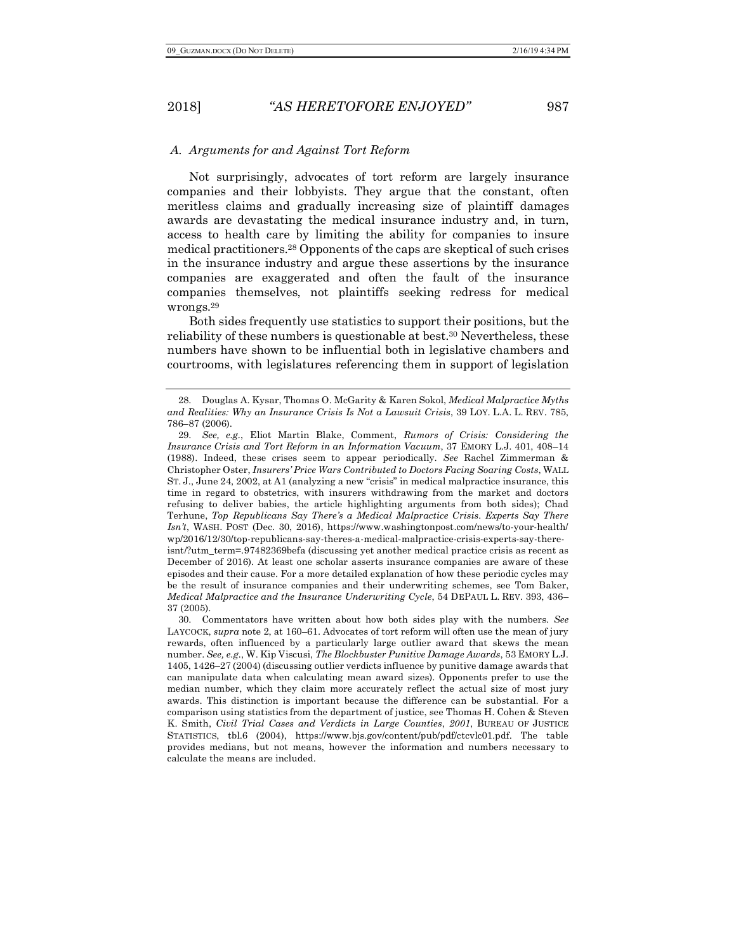### *A. Arguments for and Against Tort Reform*

Not surprisingly, advocates of tort reform are largely insurance companies and their lobbyists. They argue that the constant, often meritless claims and gradually increasing size of plaintiff damages awards are devastating the medical insurance industry and, in turn, access to health care by limiting the ability for companies to insure medical practitioners.28 Opponents of the caps are skeptical of such crises in the insurance industry and argue these assertions by the insurance companies are exaggerated and often the fault of the insurance companies themselves, not plaintiffs seeking redress for medical wrongs.29

Both sides frequently use statistics to support their positions, but the reliability of these numbers is questionable at best.30 Nevertheless, these numbers have shown to be influential both in legislative chambers and courtrooms, with legislatures referencing them in support of legislation

<sup>28.</sup> Douglas A. Kysar, Thomas O. McGarity & Karen Sokol, *Medical Malpractice Myths and Realities: Why an Insurance Crisis Is Not a Lawsuit Crisis*, 39 LOY. L.A. L. REV. 785, 786–87 (2006).

<sup>29.</sup> *See, e.g.*, Eliot Martin Blake, Comment, *Rumors of Crisis: Considering the Insurance Crisis and Tort Reform in an Information Vacuum*, 37 EMORY L.J. 401, 408–14 (1988). Indeed, these crises seem to appear periodically. *See* Rachel Zimmerman & Christopher Oster, *Insurers' Price Wars Contributed to Doctors Facing Soaring Costs*, WALL ST. J., June 24, 2002, at A1 (analyzing a new "crisis" in medical malpractice insurance, this time in regard to obstetrics, with insurers withdrawing from the market and doctors refusing to deliver babies, the article highlighting arguments from both sides); Chad Terhune, *Top Republicans Say There's a Medical Malpractice Crisis. Experts Say There Isn't*, WASH. POST (Dec. 30, 2016), https://www.washingtonpost.com/news/to-your-health/ wp/2016/12/30/top-republicans-say-theres-a-medical-malpractice-crisis-experts-say-thereisnt/?utm\_term=.97482369befa (discussing yet another medical practice crisis as recent as December of 2016). At least one scholar asserts insurance companies are aware of these episodes and their cause. For a more detailed explanation of how these periodic cycles may be the result of insurance companies and their underwriting schemes, see Tom Baker, *Medical Malpractice and the Insurance Underwriting Cycle*, 54 DEPAUL L. REV. 393, 436– 37 (2005).

<sup>30.</sup> Commentators have written about how both sides play with the numbers. *See* LAYCOCK, *supra* note 2, at 160–61. Advocates of tort reform will often use the mean of jury rewards, often influenced by a particularly large outlier award that skews the mean number. *See, e.g.*, W. Kip Viscusi, *The Blockbuster Punitive Damage Awards*, 53 EMORY L.J. 1405, 1426–27 (2004) (discussing outlier verdicts influence by punitive damage awards that can manipulate data when calculating mean award sizes). Opponents prefer to use the median number, which they claim more accurately reflect the actual size of most jury awards. This distinction is important because the difference can be substantial. For a comparison using statistics from the department of justice, see Thomas H. Cohen & Steven K. Smith, *Civil Trial Cases and Verdicts in Large Counties*, *2001*, BUREAU OF JUSTICE STATISTICS, tbl.6 (2004), https://www.bjs.gov/content/pub/pdf/ctcvlc01.pdf. The table provides medians, but not means, however the information and numbers necessary to calculate the means are included.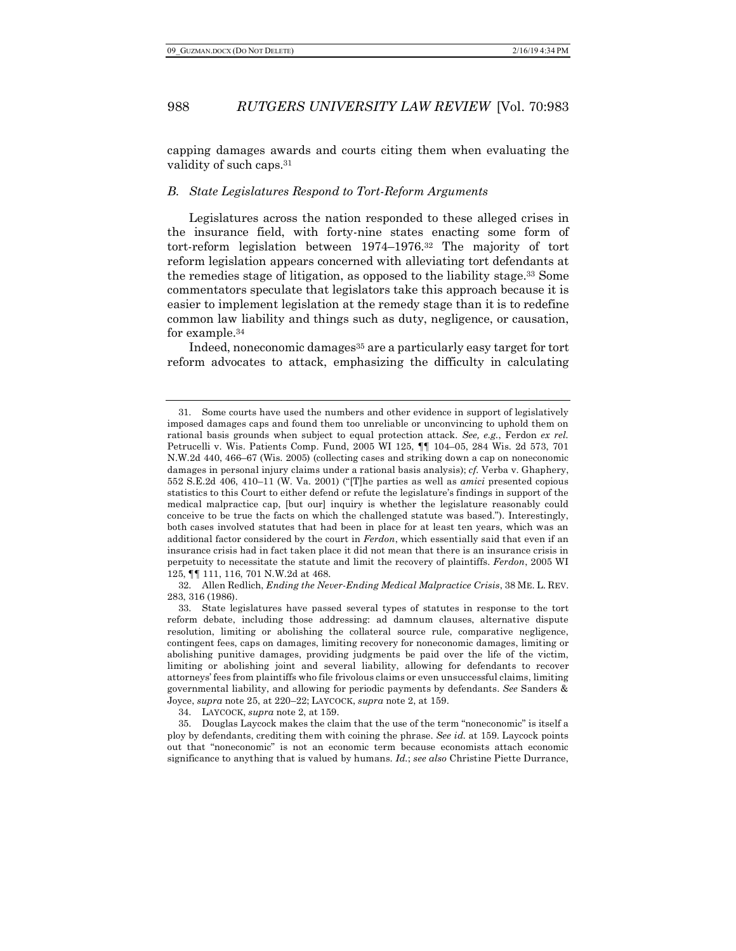capping damages awards and courts citing them when evaluating the validity of such caps.31

### *B. State Legislatures Respond to Tort-Reform Arguments*

Legislatures across the nation responded to these alleged crises in the insurance field, with forty-nine states enacting some form of tort-reform legislation between 1974–1976.32 The majority of tort reform legislation appears concerned with alleviating tort defendants at the remedies stage of litigation, as opposed to the liability stage.33 Some commentators speculate that legislators take this approach because it is easier to implement legislation at the remedy stage than it is to redefine common law liability and things such as duty, negligence, or causation, for example.34

Indeed, noneconomic damages<sup>35</sup> are a particularly easy target for tort reform advocates to attack, emphasizing the difficulty in calculating

32. Allen Redlich, *Ending the Never-Ending Medical Malpractice Crisis*, 38 ME. L. REV. 283, 316 (1986).

Some courts have used the numbers and other evidence in support of legislatively imposed damages caps and found them too unreliable or unconvincing to uphold them on rational basis grounds when subject to equal protection attack. *See, e.g.*, Ferdon *ex rel.* Petrucelli v. Wis. Patients Comp. Fund, 2005 WI 125, ¶¶ 104–05, 284 Wis. 2d 573, 701 N.W.2d 440, 466–67 (Wis. 2005) (collecting cases and striking down a cap on noneconomic damages in personal injury claims under a rational basis analysis); *cf.* Verba v. Ghaphery, 552 S.E.2d 406, 410–11 (W. Va. 2001) ("[T]he parties as well as *amici* presented copious statistics to this Court to either defend or refute the legislature's findings in support of the medical malpractice cap, [but our] inquiry is whether the legislature reasonably could conceive to be true the facts on which the challenged statute was based."). Interestingly, both cases involved statutes that had been in place for at least ten years, which was an additional factor considered by the court in *Ferdon*, which essentially said that even if an insurance crisis had in fact taken place it did not mean that there is an insurance crisis in perpetuity to necessitate the statute and limit the recovery of plaintiffs. *Ferdon*, 2005 WI 125, ¶¶ 111, 116, 701 N.W.2d at 468.

<sup>33.</sup> State legislatures have passed several types of statutes in response to the tort reform debate, including those addressing: ad damnum clauses, alternative dispute resolution, limiting or abolishing the collateral source rule, comparative negligence, contingent fees, caps on damages, limiting recovery for noneconomic damages, limiting or abolishing punitive damages, providing judgments be paid over the life of the victim, limiting or abolishing joint and several liability, allowing for defendants to recover attorneys' fees from plaintiffs who file frivolous claims or even unsuccessful claims, limiting governmental liability, and allowing for periodic payments by defendants. *See* Sanders & Joyce, *supra* note 25, at 220–22; LAYCOCK, *supra* note 2, at 159.

<sup>34.</sup> LAYCOCK, *supra* note 2, at 159.

<sup>35.</sup> Douglas Laycock makes the claim that the use of the term "noneconomic" is itself a ploy by defendants, crediting them with coining the phrase. *See id.* at 159. Laycock points out that "noneconomic" is not an economic term because economists attach economic significance to anything that is valued by humans. *Id.*; *see also* Christine Piette Durrance,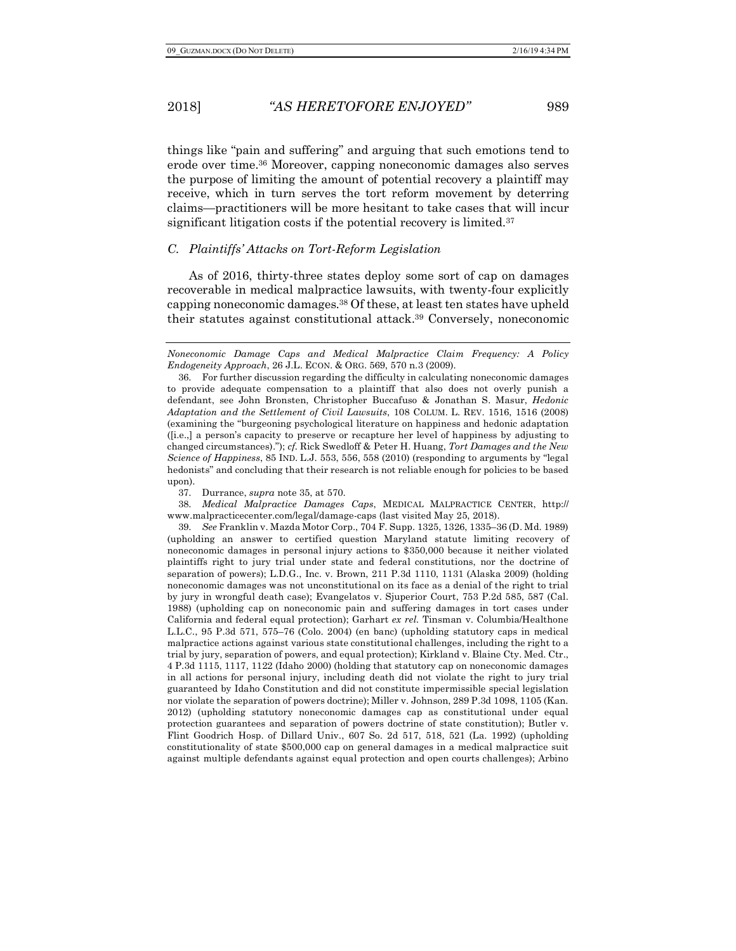things like "pain and suffering" and arguing that such emotions tend to erode over time.36 Moreover, capping noneconomic damages also serves the purpose of limiting the amount of potential recovery a plaintiff may receive, which in turn serves the tort reform movement by deterring claims—practitioners will be more hesitant to take cases that will incur significant litigation costs if the potential recovery is limited.<sup>37</sup>

### *C. Plaintiffs' Attacks on Tort-Reform Legislation*

As of 2016, thirty-three states deploy some sort of cap on damages recoverable in medical malpractice lawsuits, with twenty-four explicitly capping noneconomic damages.38 Of these, at least ten states have upheld their statutes against constitutional attack.39 Conversely, noneconomic

37. Durrance, *supra* note 35, at 570.

38. *Medical Malpractice Damages Caps*, MEDICAL MALPRACTICE CENTER, http:// www.malpracticecenter.com/legal/damage-caps (last visited May 25, 2018).

39. *See* Franklin v. Mazda Motor Corp., 704 F. Supp. 1325, 1326, 1335–36 (D. Md. 1989) (upholding an answer to certified question Maryland statute limiting recovery of noneconomic damages in personal injury actions to \$350,000 because it neither violated plaintiffs right to jury trial under state and federal constitutions, nor the doctrine of separation of powers); L.D.G., Inc. v. Brown, 211 P.3d 1110, 1131 (Alaska 2009) (holding noneconomic damages was not unconstitutional on its face as a denial of the right to trial by jury in wrongful death case); Evangelatos v. Sjuperior Court, 753 P.2d 585, 587 (Cal. 1988) (upholding cap on noneconomic pain and suffering damages in tort cases under California and federal equal protection); Garhart *ex rel.* Tinsman v. Columbia/Healthone L.L.C., 95 P.3d 571, 575–76 (Colo. 2004) (en banc) (upholding statutory caps in medical malpractice actions against various state constitutional challenges, including the right to a trial by jury, separation of powers, and equal protection); Kirkland v. Blaine Cty. Med. Ctr., 4 P.3d 1115, 1117, 1122 (Idaho 2000) (holding that statutory cap on noneconomic damages in all actions for personal injury, including death did not violate the right to jury trial guaranteed by Idaho Constitution and did not constitute impermissible special legislation nor violate the separation of powers doctrine); Miller v. Johnson, 289 P.3d 1098, 1105 (Kan. 2012) (upholding statutory noneconomic damages cap as constitutional under equal protection guarantees and separation of powers doctrine of state constitution); Butler v. Flint Goodrich Hosp. of Dillard Univ., 607 So. 2d 517, 518, 521 (La. 1992) (upholding constitutionality of state \$500,000 cap on general damages in a medical malpractice suit against multiple defendants against equal protection and open courts challenges); Arbino

*Noneconomic Damage Caps and Medical Malpractice Claim Frequency: A Policy Endogeneity Approach*, 26 J.L. ECON. & ORG. 569, 570 n.3 (2009).

<sup>36.</sup> For further discussion regarding the difficulty in calculating noneconomic damages to provide adequate compensation to a plaintiff that also does not overly punish a defendant, see John Bronsten, Christopher Buccafuso & Jonathan S. Masur, *Hedonic Adaptation and the Settlement of Civil Lawsuits*, 108 COLUM. L. REV. 1516, 1516 (2008) (examining the "burgeoning psychological literature on happiness and hedonic adaptation ([i.e.,] a person's capacity to preserve or recapture her level of happiness by adjusting to changed circumstances)."); *cf.* Rick Swedloff & Peter H. Huang, *Tort Damages and the New Science of Happiness*, 85 IND. L.J. 553, 556, 558 (2010) (responding to arguments by "legal hedonists" and concluding that their research is not reliable enough for policies to be based upon).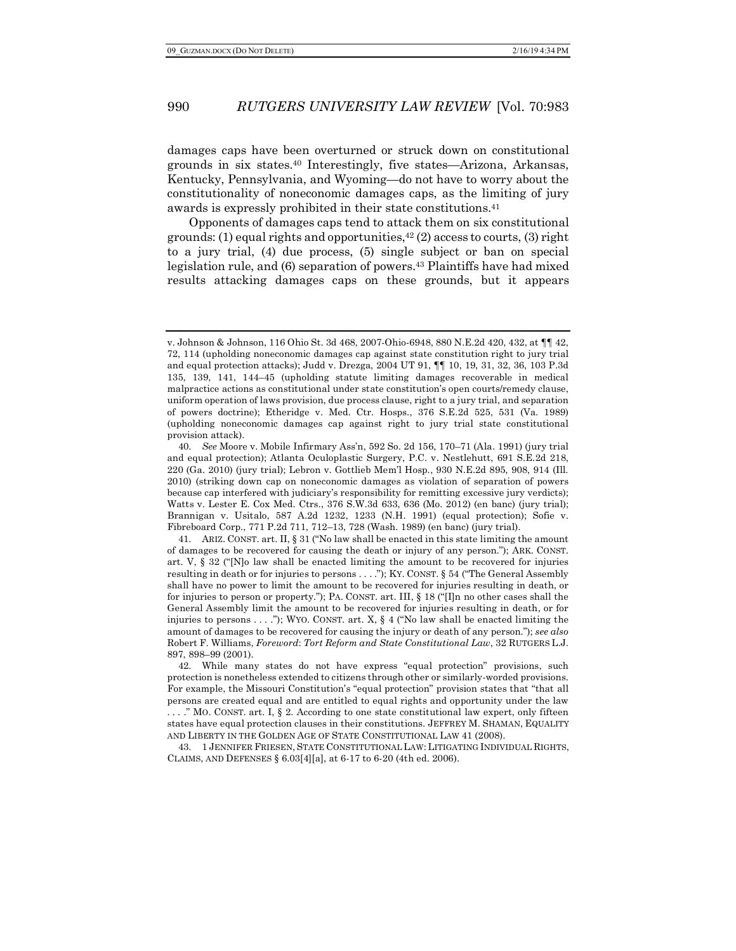damages caps have been overturned or struck down on constitutional grounds in six states.40 Interestingly, five states—Arizona, Arkansas, Kentucky, Pennsylvania, and Wyoming—do not have to worry about the constitutionality of noneconomic damages caps, as the limiting of jury awards is expressly prohibited in their state constitutions.41

Opponents of damages caps tend to attack them on six constitutional grounds: (1) equal rights and opportunities, $42$  (2) access to courts, (3) right to a jury trial, (4) due process, (5) single subject or ban on special legislation rule, and (6) separation of powers.43 Plaintiffs have had mixed results attacking damages caps on these grounds, but it appears

43. 1 JENNIFER FRIESEN, STATE CONSTITUTIONAL LAW: LITIGATING INDIVIDUAL RIGHTS, CLAIMS, AND DEFENSES § 6.03[4][a], at 6-17 to 6-20 (4th ed. 2006).

v. Johnson & Johnson, 116 Ohio St. 3d 468, 2007-Ohio-6948, 880 N.E.2d 420, 432, at ¶¶ 42, 72, 114 (upholding noneconomic damages cap against state constitution right to jury trial and equal protection attacks); Judd v. Drezga, 2004 UT 91, ¶¶ 10, 19, 31, 32, 36, 103 P.3d 135, 139, 141, 144–45 (upholding statute limiting damages recoverable in medical malpractice actions as constitutional under state constitution's open courts/remedy clause, uniform operation of laws provision, due process clause, right to a jury trial, and separation of powers doctrine); Etheridge v. Med. Ctr. Hosps., 376 S.E.2d 525, 531 (Va. 1989) (upholding noneconomic damages cap against right to jury trial state constitutional provision attack).

<sup>40.</sup> *See* Moore v. Mobile Infirmary Ass'n, 592 So. 2d 156, 170–71 (Ala. 1991) (jury trial and equal protection); Atlanta Oculoplastic Surgery, P.C. v. Nestlehutt, 691 S.E.2d 218, 220 (Ga. 2010) (jury trial); Lebron v. Gottlieb Mem'l Hosp., 930 N.E.2d 895, 908, 914 (Ill. 2010) (striking down cap on noneconomic damages as violation of separation of powers because cap interfered with judiciary's responsibility for remitting excessive jury verdicts); Watts v. Lester E. Cox Med. Ctrs., 376 S.W.3d 633, 636 (Mo. 2012) (en banc) (jury trial); Brannigan v. Usitalo, 587 A.2d 1232, 1233 (N.H. 1991) (equal protection); Sofie v. Fibreboard Corp., 771 P.2d 711, 712–13, 728 (Wash. 1989) (en banc) (jury trial).

<sup>41.</sup> ARIZ. CONST. art. II, § 31 ("No law shall be enacted in this state limiting the amount of damages to be recovered for causing the death or injury of any person."); ARK. CONST. art. V, § 32 ("[N]o law shall be enacted limiting the amount to be recovered for injuries resulting in death or for injuries to persons . . . ."); KY. CONST. § 54 ("The General Assembly shall have no power to limit the amount to be recovered for injuries resulting in death, or for injuries to person or property."); PA. CONST. art. III, § 18 ("[I]n no other cases shall the General Assembly limit the amount to be recovered for injuries resulting in death, or for injuries to persons  $\dots$ "); WYO. CONST. art. X, § 4 ("No law shall be enacted limiting the amount of damages to be recovered for causing the injury or death of any person."); *see also* Robert F. Williams, *Foreword*: *Tort Reform and State Constitutional Law*, 32 RUTGERS L.J. 897, 898–99 (2001).

<sup>42.</sup> While many states do not have express "equal protection" provisions, such protection is nonetheless extended to citizens through other or similarly-worded provisions. For example, the Missouri Constitution's "equal protection" provision states that "that all persons are created equal and are entitled to equal rights and opportunity under the law . . . ." MO. CONST. art. I, § 2. According to one state constitutional law expert, only fifteen states have equal protection clauses in their constitutions. JEFFREY M. SHAMAN, EQUALITY AND LIBERTY IN THE GOLDEN AGE OF STATE CONSTITUTIONAL LAW 41 (2008).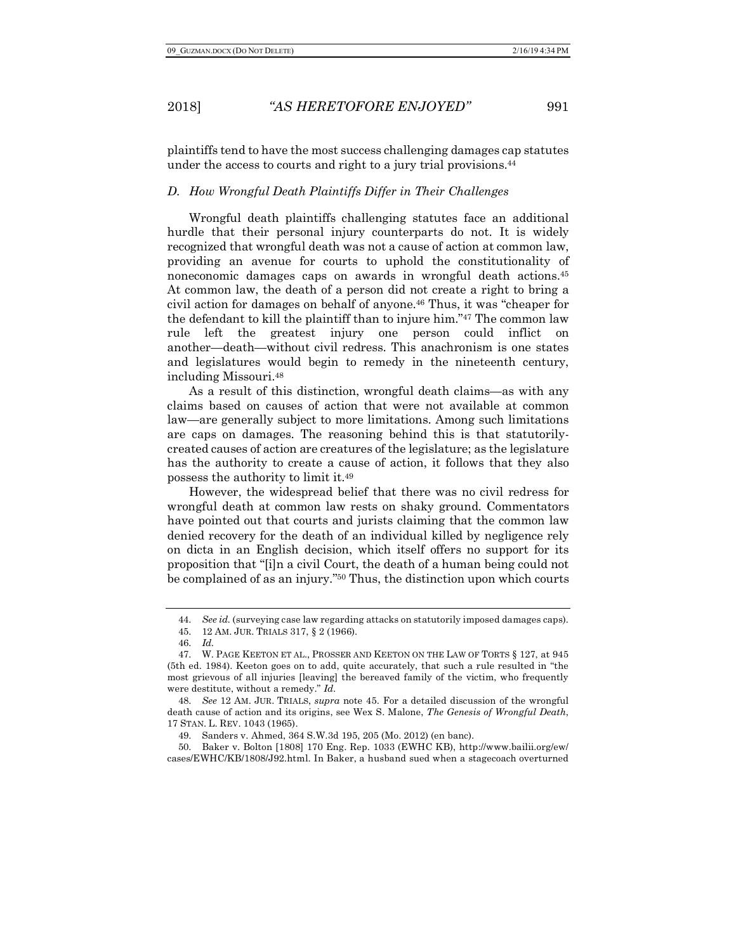plaintiffs tend to have the most success challenging damages cap statutes under the access to courts and right to a jury trial provisions.44

### *D. How Wrongful Death Plaintiffs Differ in Their Challenges*

Wrongful death plaintiffs challenging statutes face an additional hurdle that their personal injury counterparts do not. It is widely recognized that wrongful death was not a cause of action at common law, providing an avenue for courts to uphold the constitutionality of noneconomic damages caps on awards in wrongful death actions.45 At common law, the death of a person did not create a right to bring a civil action for damages on behalf of anyone.46 Thus, it was "cheaper for the defendant to kill the plaintiff than to injure him."47 The common law rule left the greatest injury one person could inflict on another—death—without civil redress. This anachronism is one states and legislatures would begin to remedy in the nineteenth century, including Missouri.48

As a result of this distinction, wrongful death claims—as with any claims based on causes of action that were not available at common law—are generally subject to more limitations. Among such limitations are caps on damages. The reasoning behind this is that statutorilycreated causes of action are creatures of the legislature; as the legislature has the authority to create a cause of action, it follows that they also possess the authority to limit it.49

However, the widespread belief that there was no civil redress for wrongful death at common law rests on shaky ground. Commentators have pointed out that courts and jurists claiming that the common law denied recovery for the death of an individual killed by negligence rely on dicta in an English decision, which itself offers no support for its proposition that "[i]n a civil Court, the death of a human being could not be complained of as an injury."50 Thus, the distinction upon which courts

50. Baker v. Bolton [1808] 170 Eng. Rep. 1033 (EWHC KB), http://www.bailii.org/ew/ cases/EWHC/KB/1808/J92.html. In Baker, a husband sued when a stagecoach overturned

<sup>44.</sup> *See id.* (surveying case law regarding attacks on statutorily imposed damages caps).

<sup>45.</sup> 12 AM. JUR. TRIALS 317, § 2 (1966).

<sup>46.</sup> *Id.*

<sup>47.</sup> W. PAGE KEETON ET AL., PROSSER AND KEETON ON THE LAW OF TORTS § 127, at 945 (5th ed. 1984). Keeton goes on to add, quite accurately, that such a rule resulted in "the most grievous of all injuries [leaving] the bereaved family of the victim, who frequently were destitute, without a remedy." *Id.*

<sup>48.</sup> *See* 12 AM. JUR. TRIALS, *supra* note 45. For a detailed discussion of the wrongful death cause of action and its origins, see Wex S. Malone, *The Genesis of Wrongful Death*, 17 STAN. L. REV. 1043 (1965).

<sup>49.</sup> Sanders v. Ahmed, 364 S.W.3d 195, 205 (Mo. 2012) (en banc).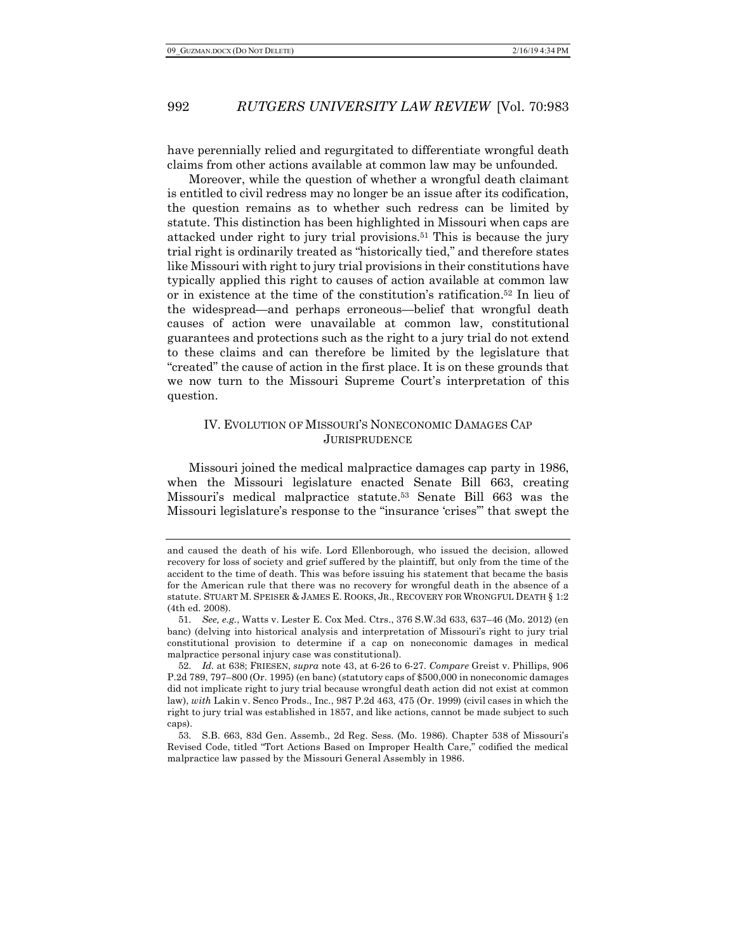have perennially relied and regurgitated to differentiate wrongful death claims from other actions available at common law may be unfounded.

Moreover, while the question of whether a wrongful death claimant is entitled to civil redress may no longer be an issue after its codification, the question remains as to whether such redress can be limited by statute. This distinction has been highlighted in Missouri when caps are attacked under right to jury trial provisions.51 This is because the jury trial right is ordinarily treated as "historically tied," and therefore states like Missouri with right to jury trial provisions in their constitutions have typically applied this right to causes of action available at common law or in existence at the time of the constitution's ratification.52 In lieu of the widespread—and perhaps erroneous—belief that wrongful death causes of action were unavailable at common law, constitutional guarantees and protections such as the right to a jury trial do not extend to these claims and can therefore be limited by the legislature that "created" the cause of action in the first place. It is on these grounds that we now turn to the Missouri Supreme Court's interpretation of this question.

### IV. EVOLUTION OF MISSOURI'S NONECONOMIC DAMAGES CAP **JURISPRUDENCE**

Missouri joined the medical malpractice damages cap party in 1986, when the Missouri legislature enacted Senate Bill 663, creating Missouri's medical malpractice statute.53 Senate Bill 663 was the Missouri legislature's response to the "insurance 'crises'" that swept the

and caused the death of his wife. Lord Ellenborough, who issued the decision, allowed recovery for loss of society and grief suffered by the plaintiff, but only from the time of the accident to the time of death. This was before issuing his statement that became the basis for the American rule that there was no recovery for wrongful death in the absence of a statute. STUART M. SPEISER & JAMES E. ROOKS, JR., RECOVERY FOR WRONGFUL DEATH § 1:2 (4th ed. 2008).

<sup>51.</sup> *See, e.g.*, Watts v. Lester E. Cox Med. Ctrs., 376 S.W.3d 633, 637–46 (Mo. 2012) (en banc) (delving into historical analysis and interpretation of Missouri's right to jury trial constitutional provision to determine if a cap on noneconomic damages in medical malpractice personal injury case was constitutional).

<sup>52.</sup> *Id.* at 638; FRIESEN, *supra* note 43, at 6-26 to 6-27. *Compare* Greist v. Phillips, 906 P.2d 789, 797–800 (Or. 1995) (en banc) (statutory caps of \$500,000 in noneconomic damages did not implicate right to jury trial because wrongful death action did not exist at common law), *with* Lakin v. Senco Prods., Inc., 987 P.2d 463, 475 (Or. 1999) (civil cases in which the right to jury trial was established in 1857, and like actions, cannot be made subject to such caps).

<sup>53.</sup> S.B. 663, 83d Gen. Assemb., 2d Reg. Sess. (Mo. 1986). Chapter 538 of Missouri's Revised Code, titled "Tort Actions Based on Improper Health Care," codified the medical malpractice law passed by the Missouri General Assembly in 1986.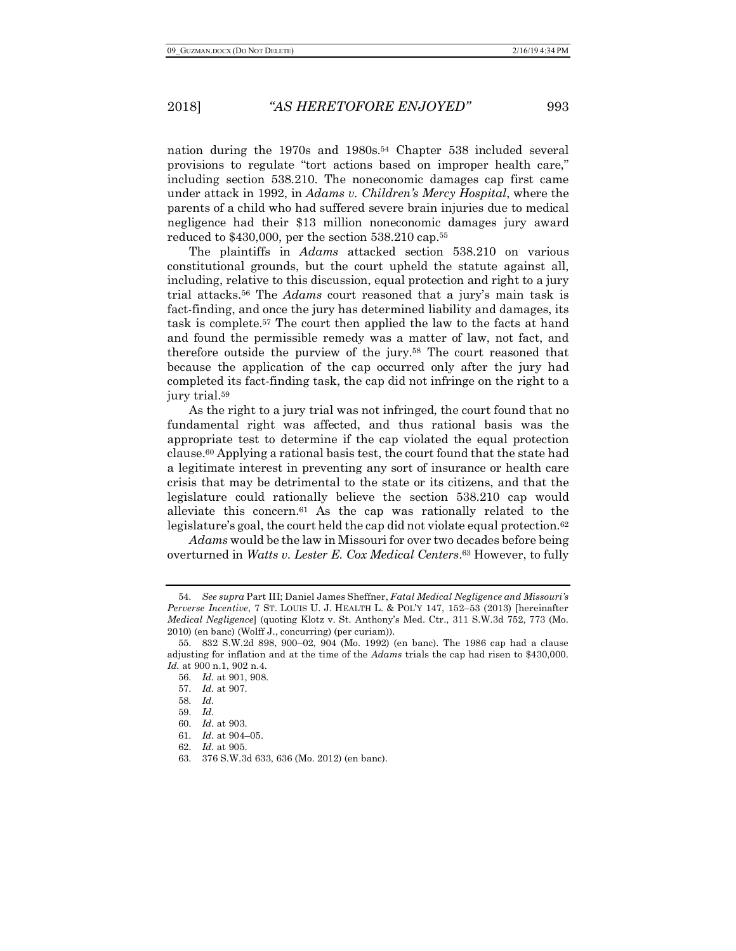nation during the 1970s and 1980s.54 Chapter 538 included several provisions to regulate "tort actions based on improper health care," including section 538.210. The noneconomic damages cap first came under attack in 1992, in *Adams v. Children's Mercy Hospital*, where the parents of a child who had suffered severe brain injuries due to medical negligence had their \$13 million noneconomic damages jury award reduced to \$430,000, per the section 538.210 cap.55

The plaintiffs in *Adams* attacked section 538.210 on various constitutional grounds, but the court upheld the statute against all, including, relative to this discussion, equal protection and right to a jury trial attacks.56 The *Adams* court reasoned that a jury's main task is fact-finding, and once the jury has determined liability and damages, its task is complete.57 The court then applied the law to the facts at hand and found the permissible remedy was a matter of law, not fact, and therefore outside the purview of the jury.58 The court reasoned that because the application of the cap occurred only after the jury had completed its fact-finding task, the cap did not infringe on the right to a jury trial.59

As the right to a jury trial was not infringed, the court found that no fundamental right was affected, and thus rational basis was the appropriate test to determine if the cap violated the equal protection clause.60 Applying a rational basis test, the court found that the state had a legitimate interest in preventing any sort of insurance or health care crisis that may be detrimental to the state or its citizens, and that the legislature could rationally believe the section 538.210 cap would alleviate this concern.61 As the cap was rationally related to the legislature's goal, the court held the cap did not violate equal protection.<sup>62</sup>

*Adams* would be the law in Missouri for over two decades before being overturned in *Watts v. Lester E. Cox Medical Centers*.63 However, to fully

<sup>54.</sup> *See supra* Part III; Daniel James Sheffner, *Fatal Medical Negligence and Missouri's Perverse Incentive*, 7 ST. LOUIS U. J. HEALTH L. & POL'Y 147, 152–53 (2013) [hereinafter *Medical Negligence*] (quoting Klotz v. St. Anthony's Med. Ctr., 311 S.W.3d 752, 773 (Mo. 2010) (en banc) (Wolff J., concurring) (per curiam)).

<sup>55.</sup> 832 S.W.2d 898, 900–02, 904 (Mo. 1992) (en banc). The 1986 cap had a clause adjusting for inflation and at the time of the *Adams* trials the cap had risen to \$430,000. *Id.* at 900 n.1, 902 n.4.

<sup>56.</sup> *Id.* at 901, 908.

<sup>57.</sup> *Id.* at 907.

<sup>58.</sup> *Id.*

<sup>59.</sup> *Id.*

<sup>60.</sup> *Id.* at 903.

<sup>61.</sup> *Id.* at 904–05.

<sup>62.</sup> *Id.* at 905.

<sup>63.</sup> 376 S.W.3d 633, 636 (Mo. 2012) (en banc).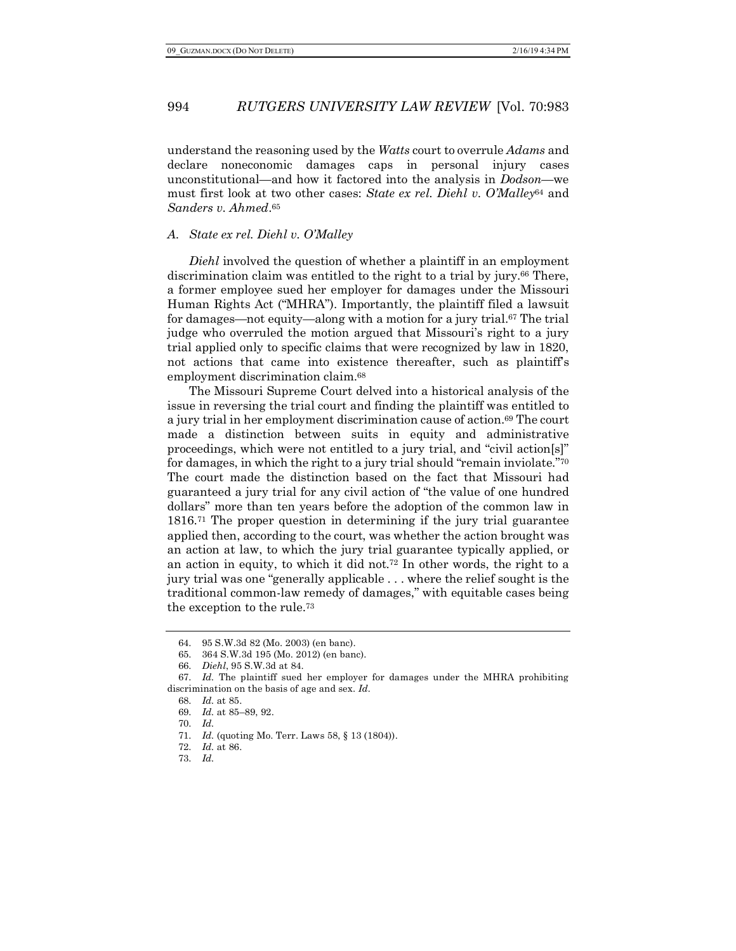understand the reasoning used by the *Watts* court to overrule *Adams* and declare noneconomic damages caps in personal injury cases unconstitutional—and how it factored into the analysis in *Dodson*—we must first look at two other cases: *State ex rel. Diehl v. O'Malley*<sup>64</sup> and *Sanders v. Ahmed*.65

### *A. State ex rel. Diehl v. O'Malley*

*Diehl* involved the question of whether a plaintiff in an employment discrimination claim was entitled to the right to a trial by jury.66 There, a former employee sued her employer for damages under the Missouri Human Rights Act ("MHRA"). Importantly, the plaintiff filed a lawsuit for damages—not equity—along with a motion for a jury trial.67 The trial judge who overruled the motion argued that Missouri's right to a jury trial applied only to specific claims that were recognized by law in 1820, not actions that came into existence thereafter, such as plaintiff's employment discrimination claim.68

The Missouri Supreme Court delved into a historical analysis of the issue in reversing the trial court and finding the plaintiff was entitled to a jury trial in her employment discrimination cause of action.69 The court made a distinction between suits in equity and administrative proceedings, which were not entitled to a jury trial, and "civil action[s]" for damages, in which the right to a jury trial should "remain inviolate."70 The court made the distinction based on the fact that Missouri had guaranteed a jury trial for any civil action of "the value of one hundred dollars" more than ten years before the adoption of the common law in 1816.71 The proper question in determining if the jury trial guarantee applied then, according to the court, was whether the action brought was an action at law, to which the jury trial guarantee typically applied, or an action in equity, to which it did not.72 In other words, the right to a jury trial was one "generally applicable . . . where the relief sought is the traditional common-law remedy of damages," with equitable cases being the exception to the rule.73

<sup>64.</sup> 95 S.W.3d 82 (Mo. 2003) (en banc).

<sup>65.</sup> 364 S.W.3d 195 (Mo. 2012) (en banc).

<sup>66.</sup> *Diehl*, 95 S.W.3d at 84.

<sup>67.</sup> *Id.* The plaintiff sued her employer for damages under the MHRA prohibiting discrimination on the basis of age and sex. *Id.*

<sup>68.</sup> *Id.* at 85.

<sup>69.</sup> *Id.* at 85–89, 92.

<sup>70.</sup> *Id.*

<sup>71.</sup> *Id.* (quoting Mo. Terr. Laws 58, § 13 (1804)).

<sup>72.</sup> *Id.* at 86.

<sup>73.</sup> *Id.*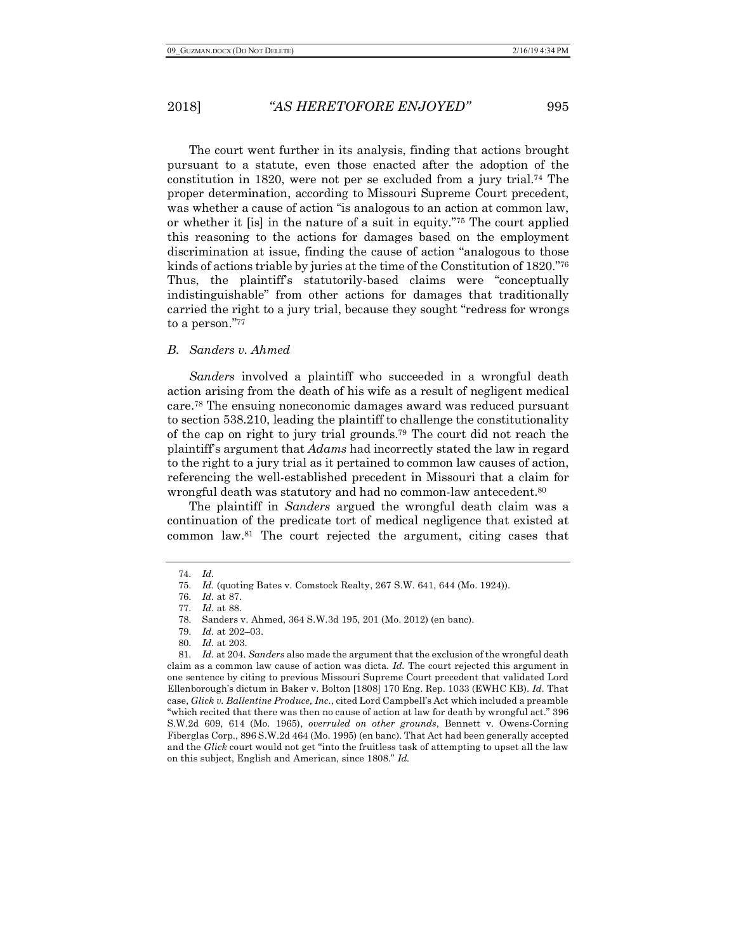The court went further in its analysis, finding that actions brought pursuant to a statute, even those enacted after the adoption of the constitution in 1820, were not per se excluded from a jury trial.74 The proper determination, according to Missouri Supreme Court precedent, was whether a cause of action "is analogous to an action at common law, or whether it [is] in the nature of a suit in equity."75 The court applied this reasoning to the actions for damages based on the employment discrimination at issue, finding the cause of action "analogous to those kinds of actions triable by juries at the time of the Constitution of 1820."76 Thus, the plaintiff's statutorily-based claims were "conceptually indistinguishable" from other actions for damages that traditionally carried the right to a jury trial, because they sought "redress for wrongs to a person."77

### *B. Sanders v. Ahmed*

*Sanders* involved a plaintiff who succeeded in a wrongful death action arising from the death of his wife as a result of negligent medical care.78 The ensuing noneconomic damages award was reduced pursuant to section 538.210, leading the plaintiff to challenge the constitutionality of the cap on right to jury trial grounds.79 The court did not reach the plaintiff's argument that *Adams* had incorrectly stated the law in regard to the right to a jury trial as it pertained to common law causes of action, referencing the well-established precedent in Missouri that a claim for wrongful death was statutory and had no common-law antecedent.80

The plaintiff in *Sanders* argued the wrongful death claim was a continuation of the predicate tort of medical negligence that existed at common law.81 The court rejected the argument, citing cases that

<sup>74.</sup> *Id.*

<sup>75.</sup> *Id.* (quoting Bates v. Comstock Realty, 267 S.W. 641, 644 (Mo. 1924)).

<sup>76.</sup> *Id.* at 87.

<sup>77.</sup> *Id.* at 88.

<sup>78.</sup> Sanders v. Ahmed, 364 S.W.3d 195, 201 (Mo. 2012) (en banc).

<sup>79.</sup> *Id.* at 202–03.

<sup>80.</sup> *Id.* at 203.

<sup>81.</sup> *Id.* at 204. *Sanders* also made the argument that the exclusion of the wrongful death claim as a common law cause of action was dicta. *Id.* The court rejected this argument in one sentence by citing to previous Missouri Supreme Court precedent that validated Lord Ellenborough's dictum in Baker v. Bolton [1808] 170 Eng. Rep. 1033 (EWHC KB). *Id.* That case, *Glick v. Ballentine Produce, Inc.*, cited Lord Campbell's Act which included a preamble "which recited that there was then no cause of action at law for death by wrongful act." 396 S.W.2d 609, 614 (Mo. 1965), *overruled on other grounds*, Bennett v. Owens-Corning Fiberglas Corp., 896 S.W.2d 464 (Mo. 1995) (en banc). That Act had been generally accepted and the *Glick* court would not get "into the fruitless task of attempting to upset all the law on this subject, English and American, since 1808." *Id.*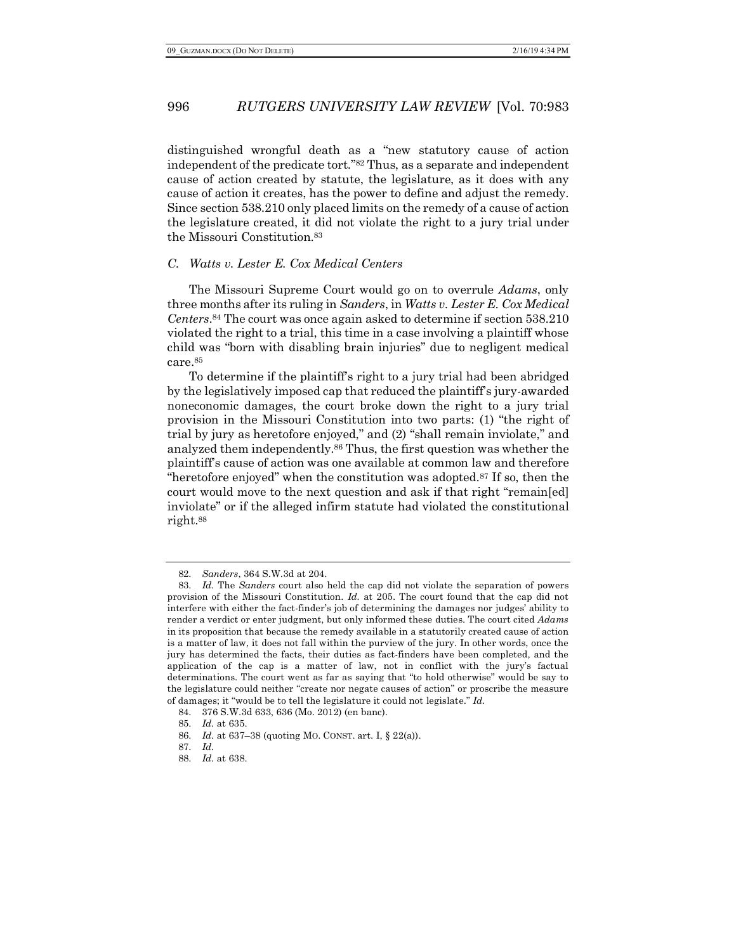distinguished wrongful death as a "new statutory cause of action independent of the predicate tort."82 Thus, as a separate and independent cause of action created by statute, the legislature, as it does with any cause of action it creates, has the power to define and adjust the remedy. Since section 538.210 only placed limits on the remedy of a cause of action the legislature created, it did not violate the right to a jury trial under the Missouri Constitution.83

### *C. Watts v. Lester E. Cox Medical Centers*

The Missouri Supreme Court would go on to overrule *Adams*, only three months after its ruling in *Sanders*, in *Watts v. Lester E. Cox Medical Centers*.84 The court was once again asked to determine if section 538.210 violated the right to a trial, this time in a case involving a plaintiff whose child was "born with disabling brain injuries" due to negligent medical care.85

To determine if the plaintiff's right to a jury trial had been abridged by the legislatively imposed cap that reduced the plaintiff's jury-awarded noneconomic damages, the court broke down the right to a jury trial provision in the Missouri Constitution into two parts: (1) "the right of trial by jury as heretofore enjoyed," and (2) "shall remain inviolate," and analyzed them independently.86 Thus, the first question was whether the plaintiff's cause of action was one available at common law and therefore "heretofore enjoyed" when the constitution was adopted.<sup>87</sup> If so, then the court would move to the next question and ask if that right "remain[ed] inviolate" or if the alleged infirm statute had violated the constitutional right.88

<sup>82.</sup> *Sanders*, 364 S.W.3d at 204.

<sup>83.</sup> *Id.* The *Sanders* court also held the cap did not violate the separation of powers provision of the Missouri Constitution. *Id.* at 205. The court found that the cap did not interfere with either the fact-finder's job of determining the damages nor judges' ability to render a verdict or enter judgment, but only informed these duties. The court cited *Adams* in its proposition that because the remedy available in a statutorily created cause of action is a matter of law, it does not fall within the purview of the jury. In other words, once the jury has determined the facts, their duties as fact-finders have been completed, and the application of the cap is a matter of law, not in conflict with the jury's factual determinations. The court went as far as saying that "to hold otherwise" would be say to the legislature could neither "create nor negate causes of action" or proscribe the measure of damages; it "would be to tell the legislature it could not legislate." *Id.*

<sup>84.</sup> 376 S.W.3d 633, 636 (Mo. 2012) (en banc).

<sup>85.</sup> *Id.* at 635.

<sup>86.</sup> *Id.* at 637–38 (quoting MO. CONST. art. I, § 22(a)).

<sup>87.</sup> *Id.*

<sup>88.</sup> *Id.* at 638.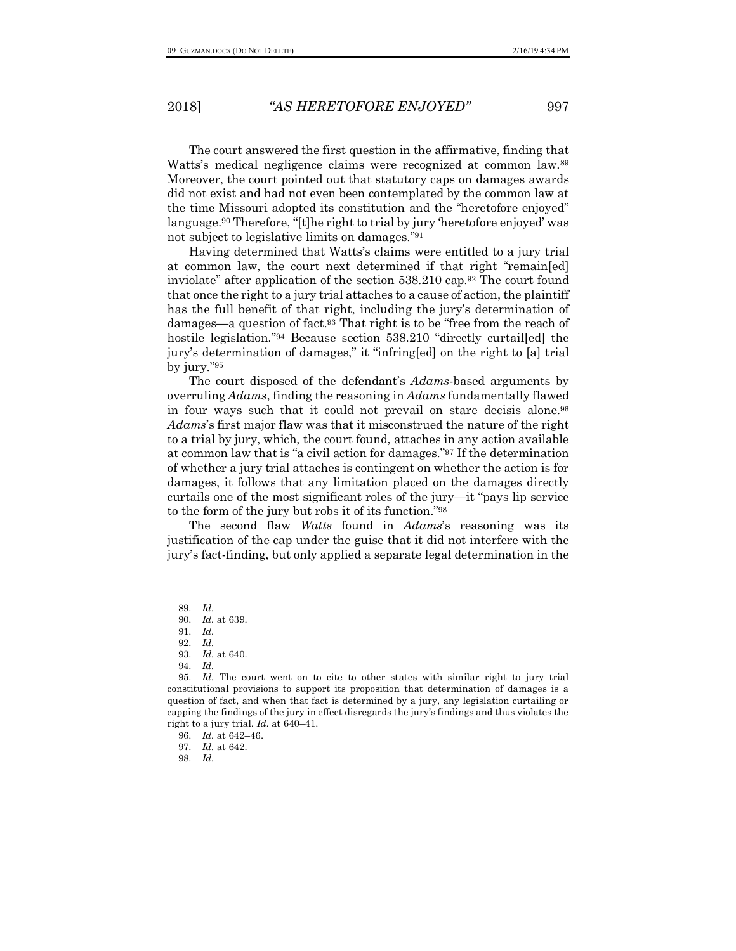The court answered the first question in the affirmative, finding that Watts's medical negligence claims were recognized at common law.89 Moreover, the court pointed out that statutory caps on damages awards did not exist and had not even been contemplated by the common law at the time Missouri adopted its constitution and the "heretofore enjoyed" language.90 Therefore, "[t]he right to trial by jury 'heretofore enjoyed' was not subject to legislative limits on damages."91

Having determined that Watts's claims were entitled to a jury trial at common law, the court next determined if that right "remain[ed] inviolate" after application of the section 538.210 cap.92 The court found that once the right to a jury trial attaches to a cause of action, the plaintiff has the full benefit of that right, including the jury's determination of damages—a question of fact.93 That right is to be "free from the reach of hostile legislation."<sup>94</sup> Because section 538.210 "directly curtail[ed] the jury's determination of damages," it "infring[ed] on the right to [a] trial by jury."95

The court disposed of the defendant's *Adams*-based arguments by overruling *Adams*, finding the reasoning in *Adams* fundamentally flawed in four ways such that it could not prevail on stare decisis alone.96 *Adams*'s first major flaw was that it misconstrued the nature of the right to a trial by jury, which, the court found, attaches in any action available at common law that is "a civil action for damages."97 If the determination of whether a jury trial attaches is contingent on whether the action is for damages, it follows that any limitation placed on the damages directly curtails one of the most significant roles of the jury—it "pays lip service to the form of the jury but robs it of its function."98

The second flaw *Watts* found in *Adams*'s reasoning was its justification of the cap under the guise that it did not interfere with the jury's fact-finding, but only applied a separate legal determination in the

<sup>89.</sup> *Id.*

<sup>90.</sup> *Id.* at 639.

<sup>91.</sup> *Id.*

<sup>92.</sup> *Id.*

<sup>93.</sup> *Id.* at 640.

<sup>94.</sup> *Id.*

<sup>95.</sup> *Id.* The court went on to cite to other states with similar right to jury trial constitutional provisions to support its proposition that determination of damages is a question of fact, and when that fact is determined by a jury, any legislation curtailing or capping the findings of the jury in effect disregards the jury's findings and thus violates the right to a jury trial. *Id.* at 640–41.

<sup>96.</sup> *Id.* at 642–46.

<sup>97.</sup> *Id.* at 642.

<sup>98.</sup> *Id.*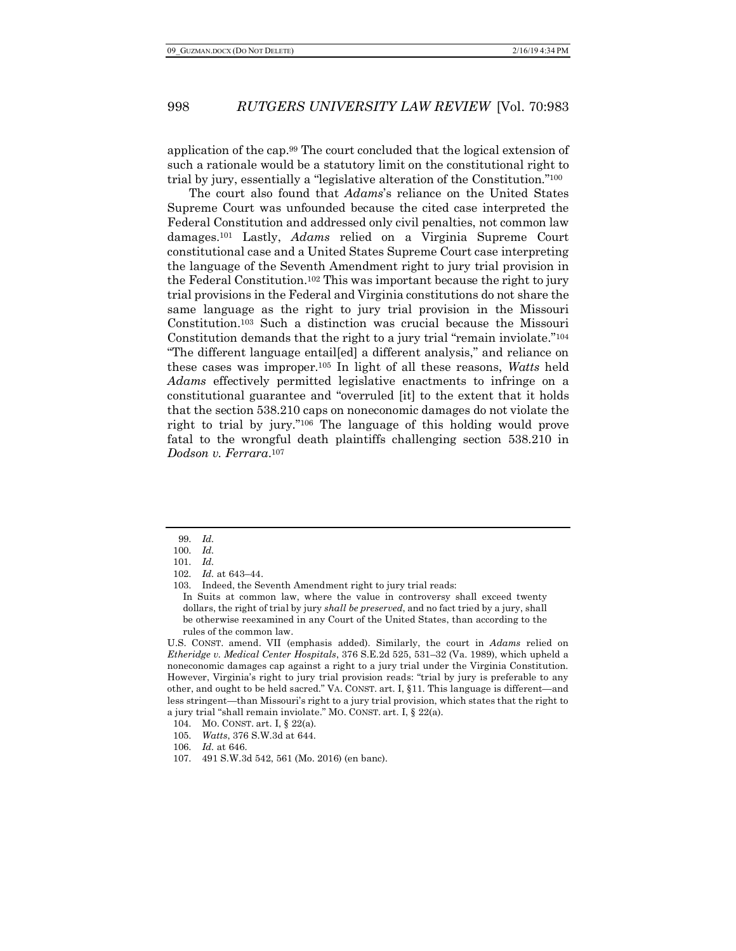application of the cap.99 The court concluded that the logical extension of such a rationale would be a statutory limit on the constitutional right to trial by jury, essentially a "legislative alteration of the Constitution."100

The court also found that *Adams*'s reliance on the United States Supreme Court was unfounded because the cited case interpreted the Federal Constitution and addressed only civil penalties, not common law damages.101 Lastly, *Adams* relied on a Virginia Supreme Court constitutional case and a United States Supreme Court case interpreting the language of the Seventh Amendment right to jury trial provision in the Federal Constitution.102 This was important because the right to jury trial provisions in the Federal and Virginia constitutions do not share the same language as the right to jury trial provision in the Missouri Constitution.103 Such a distinction was crucial because the Missouri Constitution demands that the right to a jury trial "remain inviolate."104 "The different language entail[ed] a different analysis," and reliance on these cases was improper.105 In light of all these reasons, *Watts* held *Adams* effectively permitted legislative enactments to infringe on a constitutional guarantee and "overruled [it] to the extent that it holds that the section 538.210 caps on noneconomic damages do not violate the right to trial by jury."106 The language of this holding would prove fatal to the wrongful death plaintiffs challenging section 538.210 in *Dodson v. Ferrara*.107

U.S. CONST. amend. VII (emphasis added). Similarly, the court in *Adams* relied on *Etheridge v. Medical Center Hospitals*, 376 S.E.2d 525, 531–32 (Va. 1989), which upheld a noneconomic damages cap against a right to a jury trial under the Virginia Constitution. However, Virginia's right to jury trial provision reads: "trial by jury is preferable to any other, and ought to be held sacred." VA. CONST. art. I, §11. This language is different—and less stringent—than Missouri's right to a jury trial provision, which states that the right to a jury trial "shall remain inviolate." MO. CONST. art. I, § 22(a).

<sup>99.</sup> *Id.*

<sup>100.</sup> *Id.*

<sup>101.</sup> *Id.*

<sup>102.</sup> *Id.* at 643–44.

<sup>103.</sup> Indeed, the Seventh Amendment right to jury trial reads: In Suits at common law, where the value in controversy shall exceed twenty dollars, the right of trial by jury *shall be preserved*, and no fact tried by a jury, shall be otherwise reexamined in any Court of the United States, than according to the rules of the common law.

<sup>104.</sup> MO. CONST. art. I, § 22(a)*.*

<sup>105.</sup> *Watts*, 376 S.W.3d at 644.

<sup>106.</sup> *Id.* at 646.

<sup>107.</sup> 491 S.W.3d 542, 561 (Mo. 2016) (en banc).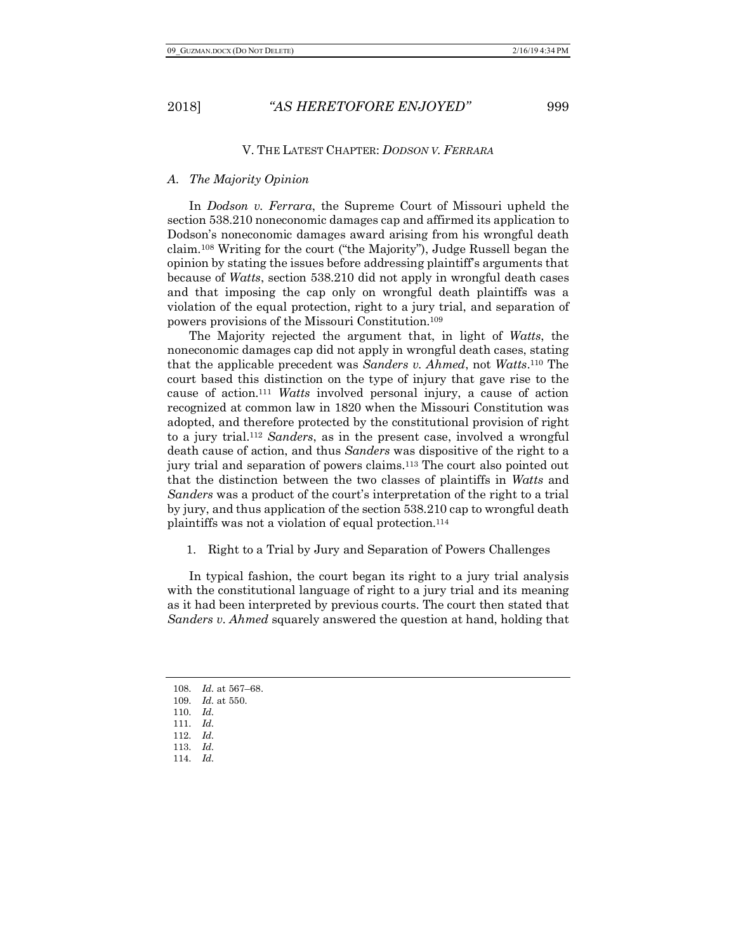### V. THE LATEST CHAPTER: *DODSON V. FERRARA*

### *A. The Majority Opinion*

In *Dodson v. Ferrara*, the Supreme Court of Missouri upheld the section 538.210 noneconomic damages cap and affirmed its application to Dodson's noneconomic damages award arising from his wrongful death claim.108 Writing for the court ("the Majority"), Judge Russell began the opinion by stating the issues before addressing plaintiff's arguments that because of *Watts*, section 538.210 did not apply in wrongful death cases and that imposing the cap only on wrongful death plaintiffs was a violation of the equal protection, right to a jury trial, and separation of powers provisions of the Missouri Constitution.109

The Majority rejected the argument that, in light of *Watts*, the noneconomic damages cap did not apply in wrongful death cases, stating that the applicable precedent was *Sanders v. Ahmed*, not *Watts*.110 The court based this distinction on the type of injury that gave rise to the cause of action.111 *Watts* involved personal injury, a cause of action recognized at common law in 1820 when the Missouri Constitution was adopted, and therefore protected by the constitutional provision of right to a jury trial.112 *Sanders*, as in the present case, involved a wrongful death cause of action, and thus *Sanders* was dispositive of the right to a jury trial and separation of powers claims.113 The court also pointed out that the distinction between the two classes of plaintiffs in *Watts* and *Sanders* was a product of the court's interpretation of the right to a trial by jury, and thus application of the section 538.210 cap to wrongful death plaintiffs was not a violation of equal protection.114

1. Right to a Trial by Jury and Separation of Powers Challenges

In typical fashion, the court began its right to a jury trial analysis with the constitutional language of right to a jury trial and its meaning as it had been interpreted by previous courts. The court then stated that *Sanders v. Ahmed* squarely answered the question at hand, holding that

- 109. *Id.* at 550.
- 110. *Id.*
- 111. *Id.*
- 112. *Id.*
- 113. *Id.*
- 114. *Id.*

<sup>108.</sup> *Id.* at 567–68.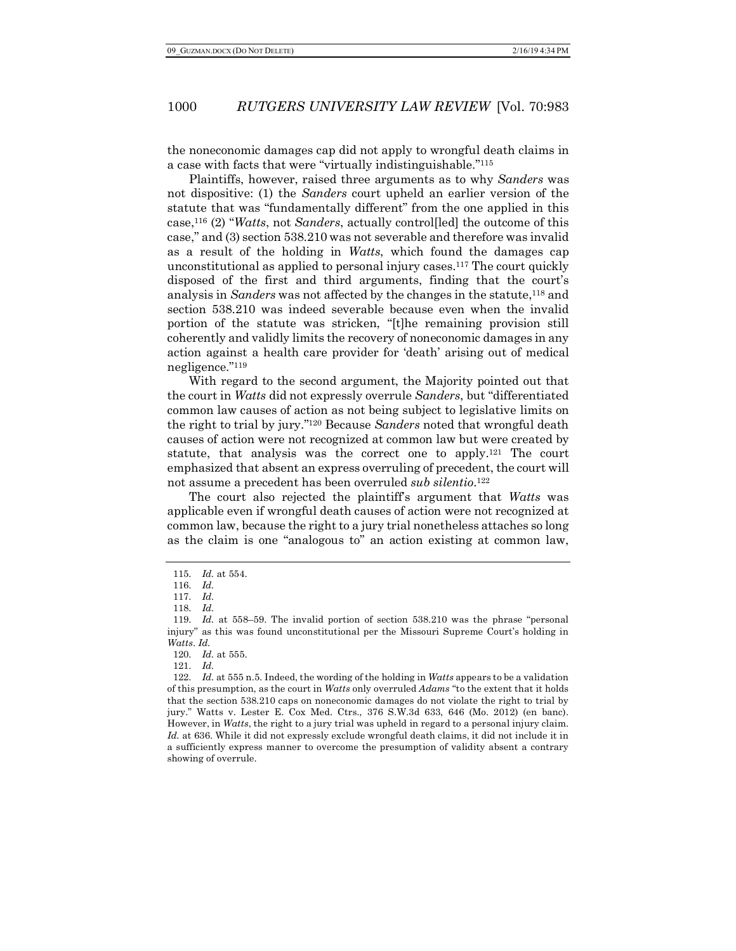the noneconomic damages cap did not apply to wrongful death claims in a case with facts that were "virtually indistinguishable."115

Plaintiffs, however, raised three arguments as to why *Sanders* was not dispositive: (1) the *Sanders* court upheld an earlier version of the statute that was "fundamentally different" from the one applied in this case,116 (2) "*Watts*, not *Sanders*, actually control[led] the outcome of this case," and (3) section 538.210 was not severable and therefore was invalid as a result of the holding in *Watts*, which found the damages cap unconstitutional as applied to personal injury cases.117 The court quickly disposed of the first and third arguments, finding that the court's analysis in *Sanders* was not affected by the changes in the statute,118 and section 538.210 was indeed severable because even when the invalid portion of the statute was stricken, "[t]he remaining provision still coherently and validly limits the recovery of noneconomic damages in any action against a health care provider for 'death' arising out of medical negligence."119

With regard to the second argument, the Majority pointed out that the court in *Watts* did not expressly overrule *Sanders*, but "differentiated common law causes of action as not being subject to legislative limits on the right to trial by jury."120 Because *Sanders* noted that wrongful death causes of action were not recognized at common law but were created by statute, that analysis was the correct one to apply.121 The court emphasized that absent an express overruling of precedent, the court will not assume a precedent has been overruled *sub silentio*.122

The court also rejected the plaintiff's argument that *Watts* was applicable even if wrongful death causes of action were not recognized at common law, because the right to a jury trial nonetheless attaches so long as the claim is one "analogous to" an action existing at common law,

<sup>115.</sup> *Id.* at 554.

<sup>116.</sup> *Id.*

<sup>117.</sup> *Id.*

<sup>118.</sup> *Id.*

<sup>119.</sup> *Id.* at 558–59. The invalid portion of section 538.210 was the phrase "personal injury" as this was found unconstitutional per the Missouri Supreme Court's holding in *Watts*. *Id.*

<sup>120.</sup> *Id.* at 555.

<sup>121.</sup> *Id.*

<sup>122.</sup> *Id.* at 555 n.5. Indeed, the wording of the holding in *Watts* appears to be a validation of this presumption, as the court in *Watts* only overruled *Adams* "to the extent that it holds that the section 538.210 caps on noneconomic damages do not violate the right to trial by jury." Watts v. Lester E. Cox Med. Ctrs., 376 S.W.3d 633, 646 (Mo. 2012) (en banc). However, in *Watts*, the right to a jury trial was upheld in regard to a personal injury claim. *Id.* at 636. While it did not expressly exclude wrongful death claims, it did not include it in a sufficiently express manner to overcome the presumption of validity absent a contrary showing of overrule.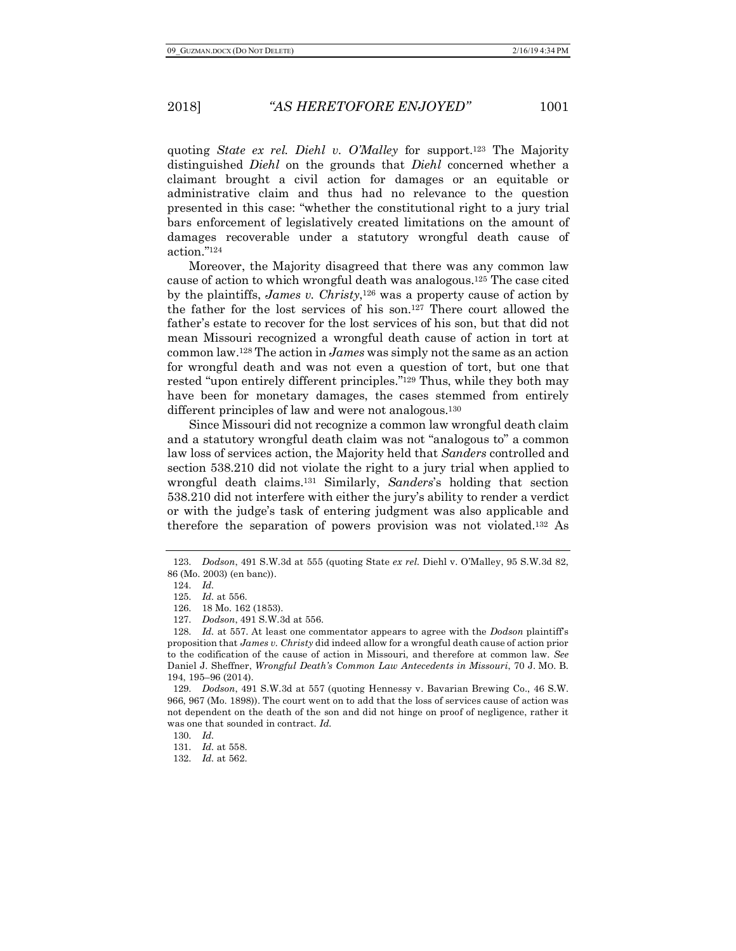quoting *State ex rel. Diehl v. O'Malley* for support.123 The Majority distinguished *Diehl* on the grounds that *Diehl* concerned whether a claimant brought a civil action for damages or an equitable or administrative claim and thus had no relevance to the question presented in this case: "whether the constitutional right to a jury trial bars enforcement of legislatively created limitations on the amount of damages recoverable under a statutory wrongful death cause of action."124

Moreover, the Majority disagreed that there was any common law cause of action to which wrongful death was analogous.125 The case cited by the plaintiffs, *James v. Christy*,126 was a property cause of action by the father for the lost services of his son.127 There court allowed the father's estate to recover for the lost services of his son, but that did not mean Missouri recognized a wrongful death cause of action in tort at common law.128 The action in *James* was simply not the same as an action for wrongful death and was not even a question of tort, but one that rested "upon entirely different principles."129 Thus, while they both may have been for monetary damages, the cases stemmed from entirely different principles of law and were not analogous.<sup>130</sup>

Since Missouri did not recognize a common law wrongful death claim and a statutory wrongful death claim was not "analogous to" a common law loss of services action, the Majority held that *Sanders* controlled and section 538.210 did not violate the right to a jury trial when applied to wrongful death claims.131 Similarly, *Sanders*'s holding that section 538.210 did not interfere with either the jury's ability to render a verdict or with the judge's task of entering judgment was also applicable and therefore the separation of powers provision was not violated.132 As

<sup>123.</sup> *Dodson*, 491 S.W.3d at 555 (quoting State *ex rel.* Diehl v. O'Malley, 95 S.W.3d 82, 86 (Mo. 2003) (en banc)).

<sup>124.</sup> *Id.*

<sup>125.</sup> *Id.* at 556.

<sup>126.</sup> 18 Mo. 162 (1853).

<sup>127.</sup> *Dodson*, 491 S.W.3d at 556.

<sup>128.</sup> *Id.* at 557. At least one commentator appears to agree with the *Dodson* plaintiff's proposition that *James v. Christy* did indeed allow for a wrongful death cause of action prior to the codification of the cause of action in Missouri, and therefore at common law. *See* Daniel J. Sheffner, *Wrongful Death's Common Law Antecedents in Missouri*, 70 J. MO. B. 194, 195–96 (2014).

<sup>129.</sup> *Dodson*, 491 S.W.3d at 557 (quoting Hennessy v. Bavarian Brewing Co., 46 S.W. 966, 967 (Mo. 1898)). The court went on to add that the loss of services cause of action was not dependent on the death of the son and did not hinge on proof of negligence, rather it was one that sounded in contract. *Id.*

<sup>130.</sup> *Id.*

<sup>131.</sup> *Id.* at 558.

<sup>132.</sup> *Id.* at 562.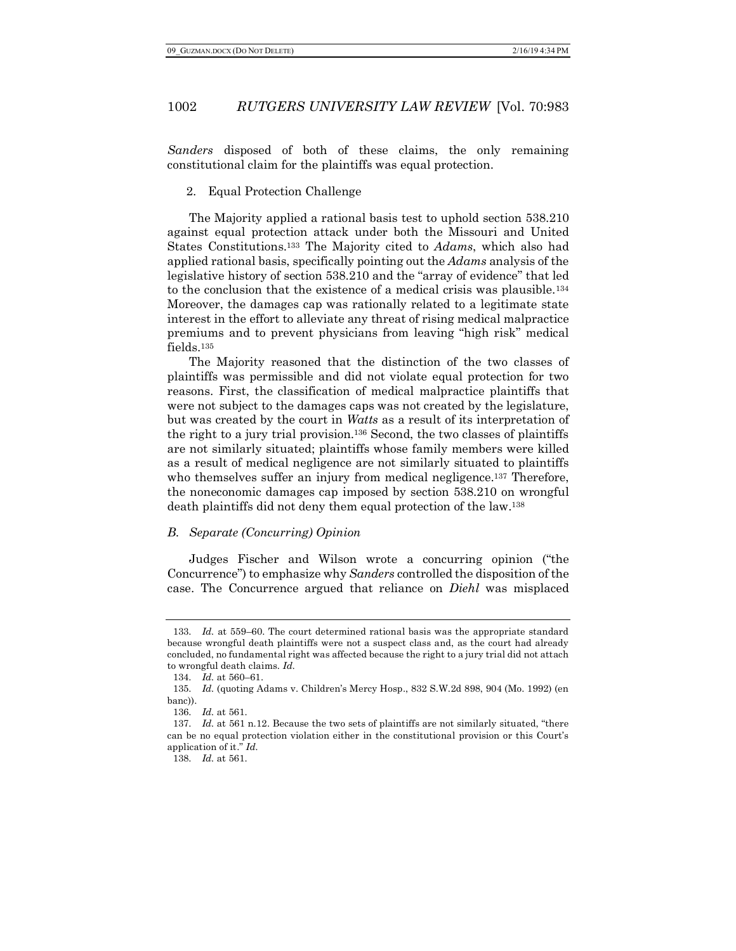*Sanders* disposed of both of these claims, the only remaining constitutional claim for the plaintiffs was equal protection.

2. Equal Protection Challenge

The Majority applied a rational basis test to uphold section 538.210 against equal protection attack under both the Missouri and United States Constitutions.133 The Majority cited to *Adams*, which also had applied rational basis, specifically pointing out the *Adams* analysis of the legislative history of section 538.210 and the "array of evidence" that led to the conclusion that the existence of a medical crisis was plausible.134 Moreover, the damages cap was rationally related to a legitimate state interest in the effort to alleviate any threat of rising medical malpractice premiums and to prevent physicians from leaving "high risk" medical fields.135

The Majority reasoned that the distinction of the two classes of plaintiffs was permissible and did not violate equal protection for two reasons. First, the classification of medical malpractice plaintiffs that were not subject to the damages caps was not created by the legislature, but was created by the court in *Watts* as a result of its interpretation of the right to a jury trial provision.136 Second, the two classes of plaintiffs are not similarly situated; plaintiffs whose family members were killed as a result of medical negligence are not similarly situated to plaintiffs who themselves suffer an injury from medical negligence.<sup>137</sup> Therefore, the noneconomic damages cap imposed by section 538.210 on wrongful death plaintiffs did not deny them equal protection of the law.138

### *B. Separate (Concurring) Opinion*

Judges Fischer and Wilson wrote a concurring opinion ("the Concurrence") to emphasize why *Sanders* controlled the disposition of the case. The Concurrence argued that reliance on *Diehl* was misplaced

<sup>133.</sup> *Id.* at 559–60. The court determined rational basis was the appropriate standard because wrongful death plaintiffs were not a suspect class and, as the court had already concluded, no fundamental right was affected because the right to a jury trial did not attach to wrongful death claims. *Id.*

<sup>134.</sup> *Id.* at 560–61.

<sup>135.</sup> *Id.* (quoting Adams v. Children's Mercy Hosp., 832 S.W.2d 898, 904 (Mo. 1992) (en banc)).

<sup>136.</sup> *Id.* at 561.

<sup>137.</sup> *Id.* at 561 n.12. Because the two sets of plaintiffs are not similarly situated, "there can be no equal protection violation either in the constitutional provision or this Court's application of it." *Id.*

<sup>138.</sup> *Id.* at 561.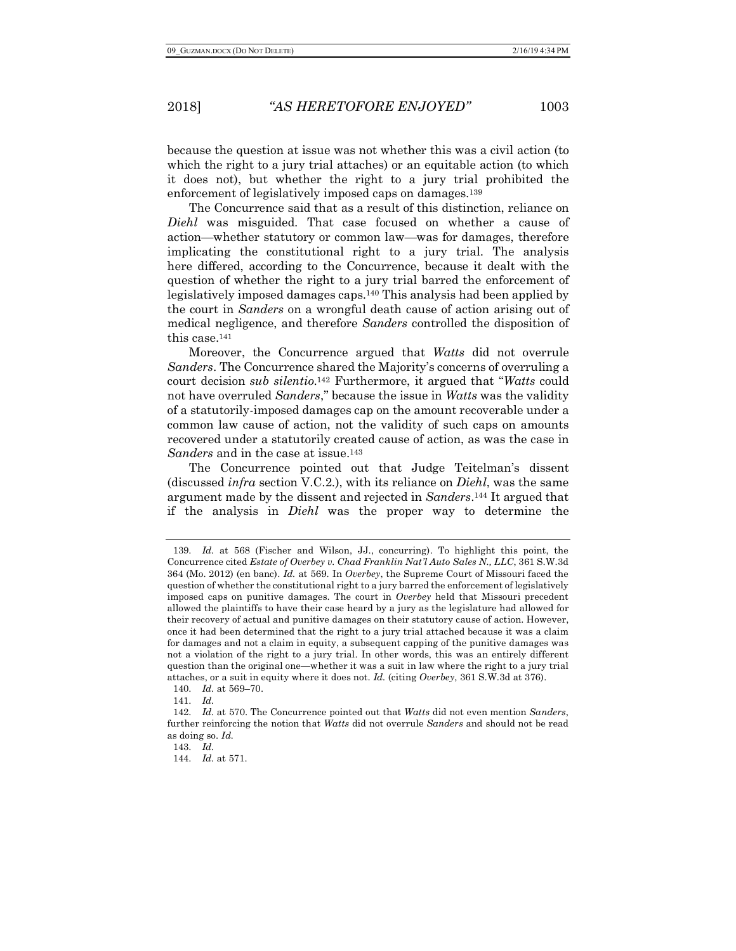because the question at issue was not whether this was a civil action (to which the right to a jury trial attaches) or an equitable action (to which it does not), but whether the right to a jury trial prohibited the enforcement of legislatively imposed caps on damages.139

The Concurrence said that as a result of this distinction, reliance on *Diehl* was misguided. That case focused on whether a cause of action—whether statutory or common law—was for damages, therefore implicating the constitutional right to a jury trial. The analysis here differed, according to the Concurrence, because it dealt with the question of whether the right to a jury trial barred the enforcement of legislatively imposed damages caps.140 This analysis had been applied by the court in *Sanders* on a wrongful death cause of action arising out of medical negligence, and therefore *Sanders* controlled the disposition of this case.141

Moreover, the Concurrence argued that *Watts* did not overrule *Sanders*. The Concurrence shared the Majority's concerns of overruling a court decision *sub silentio*.142 Furthermore, it argued that "*Watts* could not have overruled *Sanders*," because the issue in *Watts* was the validity of a statutorily-imposed damages cap on the amount recoverable under a common law cause of action, not the validity of such caps on amounts recovered under a statutorily created cause of action, as was the case in *Sanders* and in the case at issue.143

The Concurrence pointed out that Judge Teitelman's dissent (discussed *infra* section V.C.2.), with its reliance on *Diehl*, was the same argument made by the dissent and rejected in *Sanders*.144 It argued that if the analysis in *Diehl* was the proper way to determine the

<sup>139.</sup> *Id.* at 568 (Fischer and Wilson, JJ., concurring). To highlight this point, the Concurrence cited *Estate of Overbey v. Chad Franklin Nat'l Auto Sales N., LLC*, 361 S.W.3d 364 (Mo. 2012) (en banc). *Id.* at 569. In *Overbey*, the Supreme Court of Missouri faced the question of whether the constitutional right to a jury barred the enforcement of legislatively imposed caps on punitive damages. The court in *Overbey* held that Missouri precedent allowed the plaintiffs to have their case heard by a jury as the legislature had allowed for their recovery of actual and punitive damages on their statutory cause of action. However, once it had been determined that the right to a jury trial attached because it was a claim for damages and not a claim in equity, a subsequent capping of the punitive damages was not a violation of the right to a jury trial. In other words, this was an entirely different question than the original one—whether it was a suit in law where the right to a jury trial attaches, or a suit in equity where it does not. *Id.* (citing *Overbey*, 361 S.W.3d at 376).

<sup>140.</sup> *Id.* at 569–70.

<sup>141.</sup> *Id.*

<sup>142.</sup> *Id.* at 570. The Concurrence pointed out that *Watts* did not even mention *Sanders*, further reinforcing the notion that *Watts* did not overrule *Sanders* and should not be read as doing so. *Id.*

<sup>143.</sup> *Id.*

<sup>144.</sup> *Id.* at 571.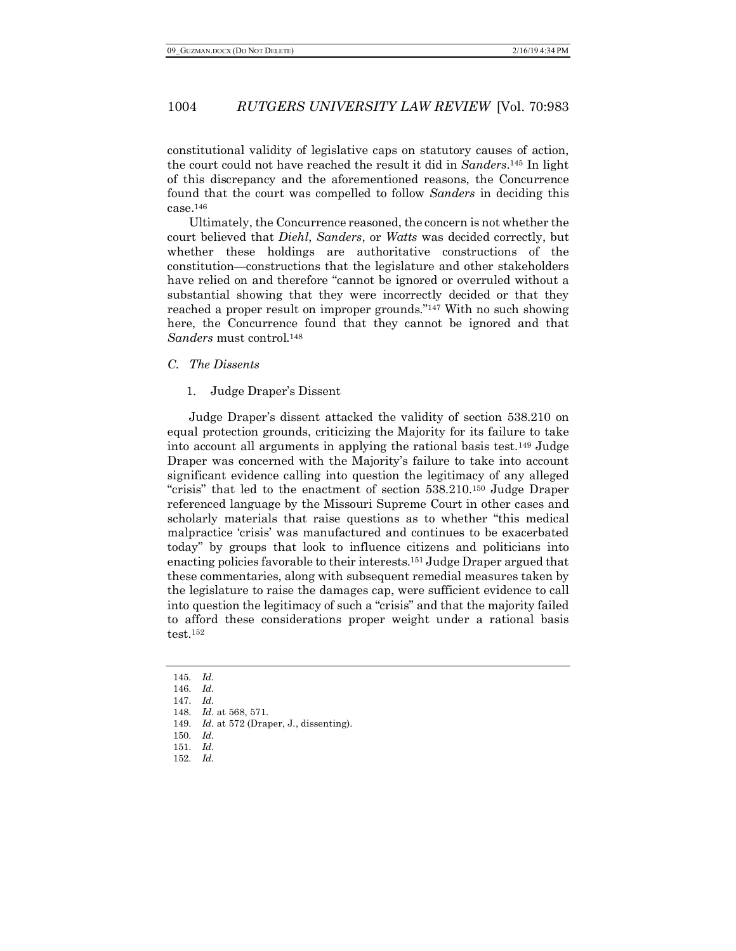constitutional validity of legislative caps on statutory causes of action, the court could not have reached the result it did in *Sanders*.145 In light of this discrepancy and the aforementioned reasons, the Concurrence found that the court was compelled to follow *Sanders* in deciding this case.146

Ultimately, the Concurrence reasoned, the concern is not whether the court believed that *Diehl*, *Sanders*, or *Watts* was decided correctly, but whether these holdings are authoritative constructions of the constitution—constructions that the legislature and other stakeholders have relied on and therefore "cannot be ignored or overruled without a substantial showing that they were incorrectly decided or that they reached a proper result on improper grounds."147 With no such showing here, the Concurrence found that they cannot be ignored and that *Sanders* must control.148

*C. The Dissents*

1. Judge Draper's Dissent

Judge Draper's dissent attacked the validity of section 538.210 on equal protection grounds, criticizing the Majority for its failure to take into account all arguments in applying the rational basis test.149 Judge Draper was concerned with the Majority's failure to take into account significant evidence calling into question the legitimacy of any alleged "crisis" that led to the enactment of section 538.210.150 Judge Draper referenced language by the Missouri Supreme Court in other cases and scholarly materials that raise questions as to whether "this medical malpractice 'crisis' was manufactured and continues to be exacerbated today" by groups that look to influence citizens and politicians into enacting policies favorable to their interests.151 Judge Draper argued that these commentaries, along with subsequent remedial measures taken by the legislature to raise the damages cap, were sufficient evidence to call into question the legitimacy of such a "crisis" and that the majority failed to afford these considerations proper weight under a rational basis test.152

<sup>145.</sup> *Id.*

<sup>146.</sup> *Id.* 147. *Id.*

<sup>148.</sup> *Id.* at 568, 571. 149. *Id.* at 572 (Draper, J., dissenting).

<sup>150.</sup> *Id.*

<sup>151.</sup> *Id.*

<sup>152.</sup> *Id.*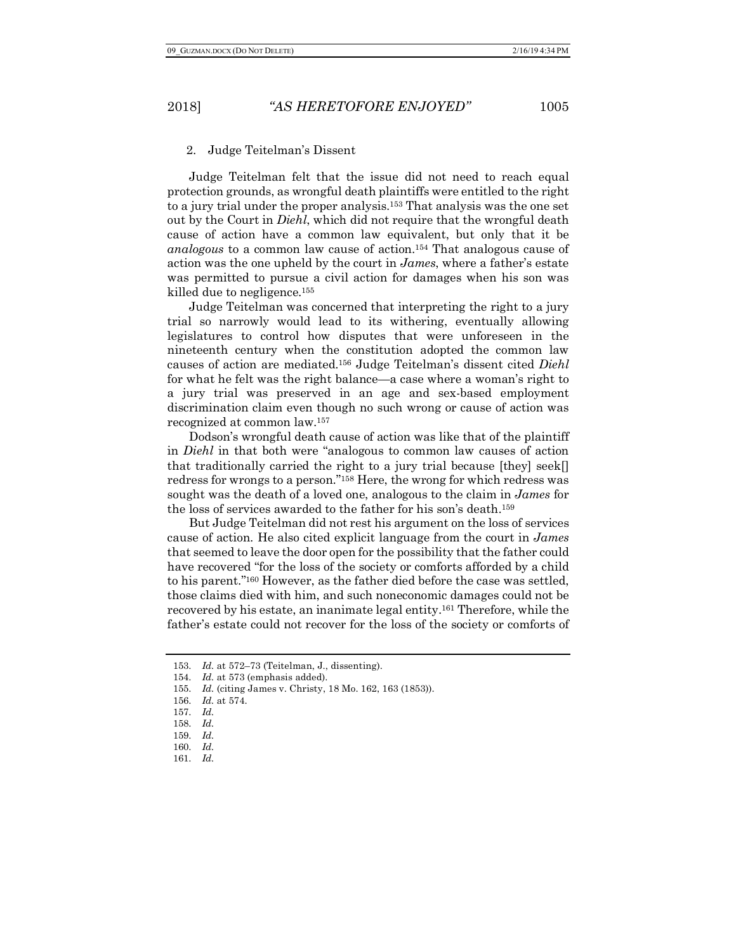### 2. Judge Teitelman's Dissent

Judge Teitelman felt that the issue did not need to reach equal protection grounds, as wrongful death plaintiffs were entitled to the right to a jury trial under the proper analysis.153 That analysis was the one set out by the Court in *Diehl*, which did not require that the wrongful death cause of action have a common law equivalent, but only that it be *analogous* to a common law cause of action.154 That analogous cause of action was the one upheld by the court in *James*, where a father's estate was permitted to pursue a civil action for damages when his son was killed due to negligence.155

Judge Teitelman was concerned that interpreting the right to a jury trial so narrowly would lead to its withering, eventually allowing legislatures to control how disputes that were unforeseen in the nineteenth century when the constitution adopted the common law causes of action are mediated.156 Judge Teitelman's dissent cited *Diehl* for what he felt was the right balance—a case where a woman's right to a jury trial was preserved in an age and sex-based employment discrimination claim even though no such wrong or cause of action was recognized at common law.157

Dodson's wrongful death cause of action was like that of the plaintiff in *Diehl* in that both were "analogous to common law causes of action that traditionally carried the right to a jury trial because [they] seek[] redress for wrongs to a person."158 Here, the wrong for which redress was sought was the death of a loved one, analogous to the claim in *James* for the loss of services awarded to the father for his son's death.159

But Judge Teitelman did not rest his argument on the loss of services cause of action. He also cited explicit language from the court in *James* that seemed to leave the door open for the possibility that the father could have recovered "for the loss of the society or comforts afforded by a child to his parent."160 However, as the father died before the case was settled, those claims died with him, and such noneconomic damages could not be recovered by his estate, an inanimate legal entity.161 Therefore, while the father's estate could not recover for the loss of the society or comforts of

<sup>153.</sup> *Id.* at 572–73 (Teitelman, J., dissenting).

<sup>154.</sup> *Id.* at 573 (emphasis added).

<sup>155.</sup> *Id.* (citing James v. Christy, 18 Mo. 162, 163 (1853)).

<sup>156.</sup> *Id.* at 574.

<sup>157.</sup> *Id.*

<sup>158.</sup> *Id.*

<sup>159.</sup> *Id.*

<sup>160.</sup> *Id.*

<sup>161.</sup> *Id.*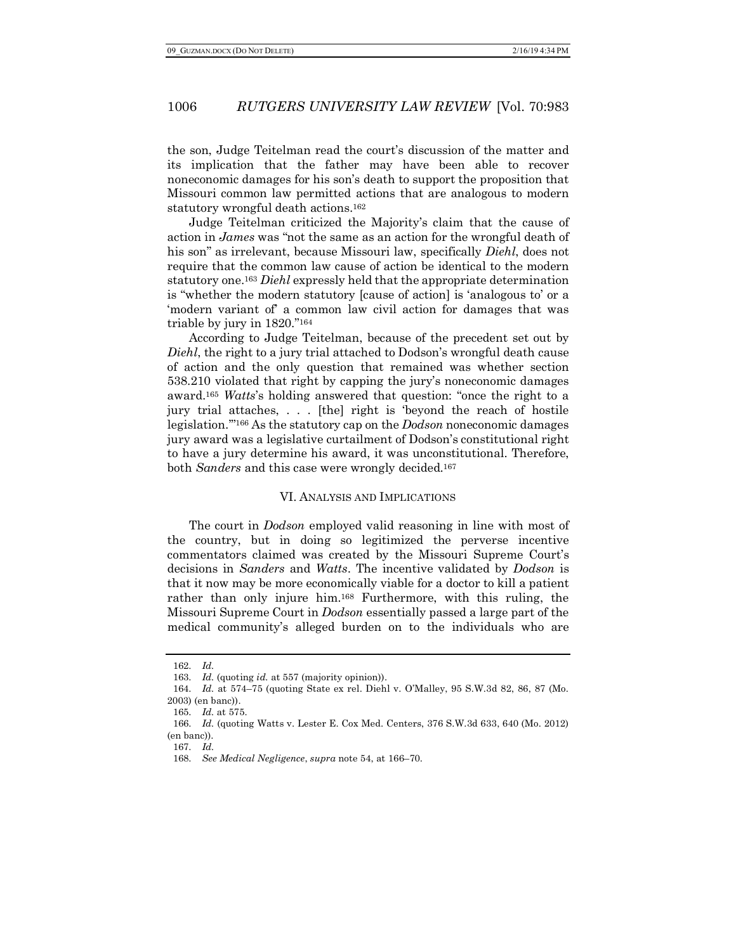the son, Judge Teitelman read the court's discussion of the matter and its implication that the father may have been able to recover noneconomic damages for his son's death to support the proposition that Missouri common law permitted actions that are analogous to modern statutory wrongful death actions.162

Judge Teitelman criticized the Majority's claim that the cause of action in *James* was "not the same as an action for the wrongful death of his son" as irrelevant, because Missouri law, specifically *Diehl*, does not require that the common law cause of action be identical to the modern statutory one.163 *Diehl* expressly held that the appropriate determination is "whether the modern statutory [cause of action] is 'analogous to' or a 'modern variant of' a common law civil action for damages that was triable by jury in 1820."164

According to Judge Teitelman, because of the precedent set out by *Diehl*, the right to a jury trial attached to Dodson's wrongful death cause of action and the only question that remained was whether section 538.210 violated that right by capping the jury's noneconomic damages award.165 *Watts*'s holding answered that question: "once the right to a jury trial attaches, . . . [the] right is 'beyond the reach of hostile legislation.'"166 As the statutory cap on the *Dodson* noneconomic damages jury award was a legislative curtailment of Dodson's constitutional right to have a jury determine his award, it was unconstitutional. Therefore, both *Sanders* and this case were wrongly decided.167

#### VI. ANALYSIS AND IMPLICATIONS

The court in *Dodson* employed valid reasoning in line with most of the country, but in doing so legitimized the perverse incentive commentators claimed was created by the Missouri Supreme Court's decisions in *Sanders* and *Watts*. The incentive validated by *Dodson* is that it now may be more economically viable for a doctor to kill a patient rather than only injure him.168 Furthermore, with this ruling, the Missouri Supreme Court in *Dodson* essentially passed a large part of the medical community's alleged burden on to the individuals who are

<sup>162.</sup> *Id.*

<sup>163.</sup> *Id.* (quoting *id.* at 557 (majority opinion)).

<sup>164.</sup> *Id.* at 574–75 (quoting State ex rel. Diehl v. O'Malley, 95 S.W.3d 82, 86, 87 (Mo. 2003) (en banc)).

<sup>165.</sup> *Id.* at 575.

<sup>166.</sup> *Id.* (quoting Watts v. Lester E. Cox Med. Centers, 376 S.W.3d 633, 640 (Mo. 2012) (en banc)).

<sup>167.</sup> *Id.*

<sup>168.</sup> *See Medical Negligence*, *supra* note 54, at 166–70.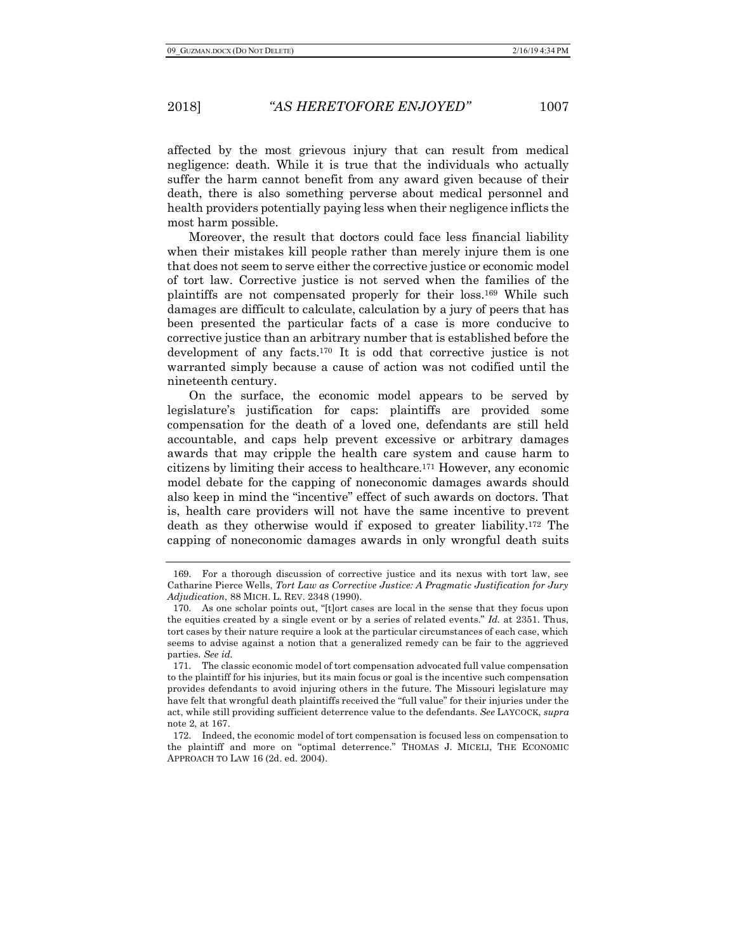affected by the most grievous injury that can result from medical negligence: death. While it is true that the individuals who actually suffer the harm cannot benefit from any award given because of their death, there is also something perverse about medical personnel and health providers potentially paying less when their negligence inflicts the most harm possible.

Moreover, the result that doctors could face less financial liability when their mistakes kill people rather than merely injure them is one that does not seem to serve either the corrective justice or economic model of tort law. Corrective justice is not served when the families of the plaintiffs are not compensated properly for their loss.169 While such damages are difficult to calculate, calculation by a jury of peers that has been presented the particular facts of a case is more conducive to corrective justice than an arbitrary number that is established before the development of any facts.170 It is odd that corrective justice is not warranted simply because a cause of action was not codified until the nineteenth century.

On the surface, the economic model appears to be served by legislature's justification for caps: plaintiffs are provided some compensation for the death of a loved one, defendants are still held accountable, and caps help prevent excessive or arbitrary damages awards that may cripple the health care system and cause harm to citizens by limiting their access to healthcare.171 However, any economic model debate for the capping of noneconomic damages awards should also keep in mind the "incentive" effect of such awards on doctors. That is, health care providers will not have the same incentive to prevent death as they otherwise would if exposed to greater liability.172 The capping of noneconomic damages awards in only wrongful death suits

<sup>169.</sup> For a thorough discussion of corrective justice and its nexus with tort law, see Catharine Pierce Wells, *Tort Law as Corrective Justice: A Pragmatic Justification for Jury Adjudication*, 88 MICH. L. REV. 2348 (1990).

<sup>170.</sup> As one scholar points out, "[t]ort cases are local in the sense that they focus upon the equities created by a single event or by a series of related events." *Id.* at 2351. Thus, tort cases by their nature require a look at the particular circumstances of each case, which seems to advise against a notion that a generalized remedy can be fair to the aggrieved parties. *See id.*

<sup>171.</sup> The classic economic model of tort compensation advocated full value compensation to the plaintiff for his injuries, but its main focus or goal is the incentive such compensation provides defendants to avoid injuring others in the future. The Missouri legislature may have felt that wrongful death plaintiffs received the "full value" for their injuries under the act, while still providing sufficient deterrence value to the defendants. *See* LAYCOCK, *supra*  note 2, at 167.

<sup>172.</sup> Indeed, the economic model of tort compensation is focused less on compensation to the plaintiff and more on "optimal deterrence." THOMAS J. MICELI, THE ECONOMIC APPROACH TO LAW 16 (2d. ed. 2004).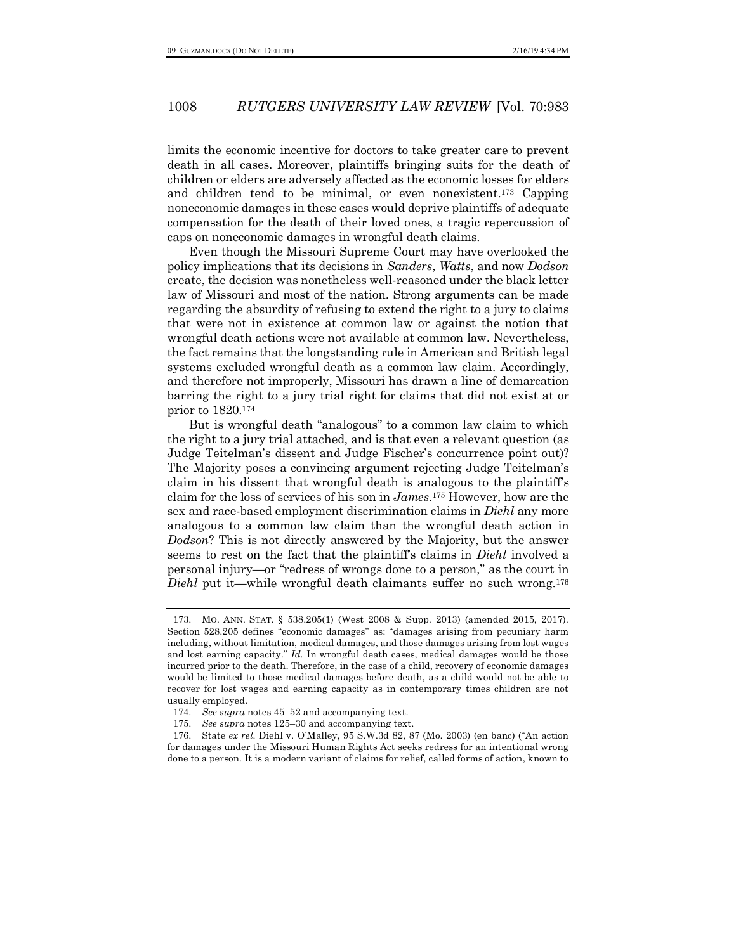limits the economic incentive for doctors to take greater care to prevent death in all cases. Moreover, plaintiffs bringing suits for the death of children or elders are adversely affected as the economic losses for elders and children tend to be minimal, or even nonexistent.173 Capping noneconomic damages in these cases would deprive plaintiffs of adequate compensation for the death of their loved ones, a tragic repercussion of caps on noneconomic damages in wrongful death claims.

Even though the Missouri Supreme Court may have overlooked the policy implications that its decisions in *Sanders*, *Watts*, and now *Dodson* create, the decision was nonetheless well-reasoned under the black letter law of Missouri and most of the nation. Strong arguments can be made regarding the absurdity of refusing to extend the right to a jury to claims that were not in existence at common law or against the notion that wrongful death actions were not available at common law. Nevertheless, the fact remains that the longstanding rule in American and British legal systems excluded wrongful death as a common law claim. Accordingly, and therefore not improperly, Missouri has drawn a line of demarcation barring the right to a jury trial right for claims that did not exist at or prior to 1820.174

But is wrongful death "analogous" to a common law claim to which the right to a jury trial attached, and is that even a relevant question (as Judge Teitelman's dissent and Judge Fischer's concurrence point out)? The Majority poses a convincing argument rejecting Judge Teitelman's claim in his dissent that wrongful death is analogous to the plaintiff's claim for the loss of services of his son in *James*.175 However, how are the sex and race-based employment discrimination claims in *Diehl* any more analogous to a common law claim than the wrongful death action in *Dodson*? This is not directly answered by the Majority, but the answer seems to rest on the fact that the plaintiff's claims in *Diehl* involved a personal injury—or "redress of wrongs done to a person," as the court in *Diehl* put it—while wrongful death claimants suffer no such wrong.<sup>176</sup>

<sup>173.</sup> MO. ANN. STAT. § 538.205(1) (West 2008 & Supp. 2013) (amended 2015, 2017). Section 528.205 defines "economic damages" as: "damages arising from pecuniary harm including, without limitation, medical damages, and those damages arising from lost wages and lost earning capacity." *Id.* In wrongful death cases, medical damages would be those incurred prior to the death. Therefore, in the case of a child, recovery of economic damages would be limited to those medical damages before death, as a child would not be able to recover for lost wages and earning capacity as in contemporary times children are not usually employed.

<sup>174.</sup> *See supra* notes 45–52 and accompanying text.

<sup>175.</sup> *See supra* notes 125–30 and accompanying text.

<sup>176.</sup> State *ex rel.* Diehl v. O'Malley, 95 S.W.3d 82, 87 (Mo. 2003) (en banc) ("An action for damages under the Missouri Human Rights Act seeks redress for an intentional wrong done to a person. It is a modern variant of claims for relief, called forms of action, known to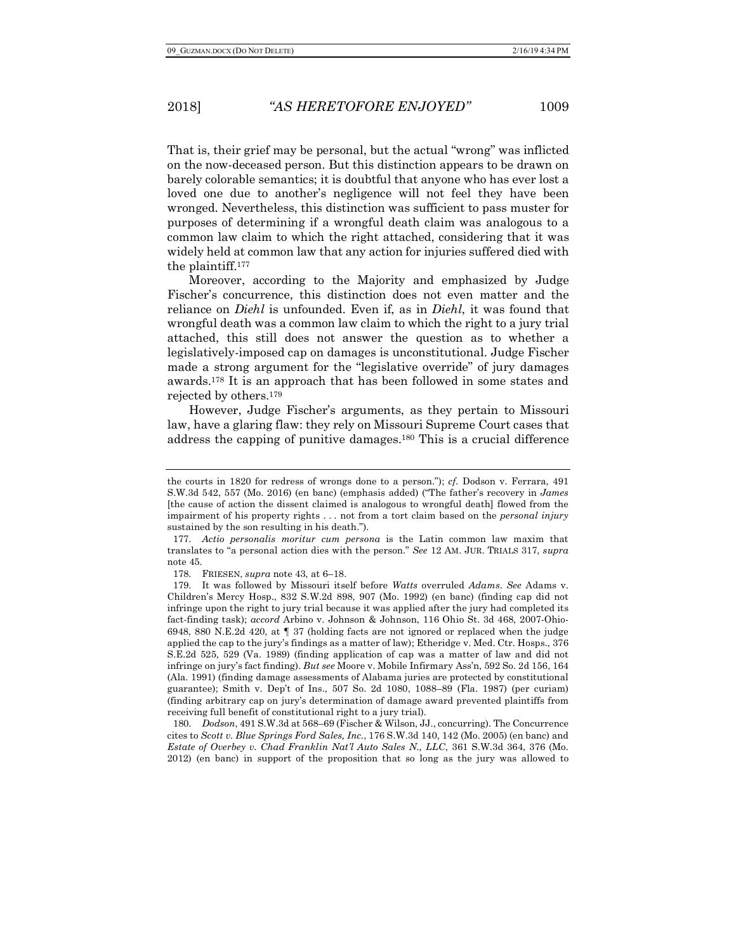That is, their grief may be personal, but the actual "wrong" was inflicted on the now-deceased person. But this distinction appears to be drawn on barely colorable semantics; it is doubtful that anyone who has ever lost a loved one due to another's negligence will not feel they have been wronged. Nevertheless, this distinction was sufficient to pass muster for purposes of determining if a wrongful death claim was analogous to a common law claim to which the right attached, considering that it was widely held at common law that any action for injuries suffered died with the plaintiff.177

Moreover, according to the Majority and emphasized by Judge Fischer's concurrence, this distinction does not even matter and the reliance on *Diehl* is unfounded. Even if, as in *Diehl*, it was found that wrongful death was a common law claim to which the right to a jury trial attached, this still does not answer the question as to whether a legislatively-imposed cap on damages is unconstitutional. Judge Fischer made a strong argument for the "legislative override" of jury damages awards.178 It is an approach that has been followed in some states and rejected by others.179

However, Judge Fischer's arguments, as they pertain to Missouri law, have a glaring flaw: they rely on Missouri Supreme Court cases that address the capping of punitive damages.180 This is a crucial difference

178. FRIESEN, *supra* note 43, at 6–18.

180. *Dodson*, 491 S.W.3d at 568–69 (Fischer & Wilson, JJ., concurring). The Concurrence cites to *Scott v. Blue Springs Ford Sales, Inc.*, 176 S.W.3d 140, 142 (Mo. 2005) (en banc) and *Estate of Overbey v. Chad Franklin Nat'l Auto Sales N., LLC*, 361 S.W.3d 364, 376 (Mo. 2012) (en banc) in support of the proposition that so long as the jury was allowed to

the courts in 1820 for redress of wrongs done to a person."); *cf.* Dodson v. Ferrara, 491 S.W.3d 542, 557 (Mo. 2016) (en banc) (emphasis added) ("The father's recovery in *James* [the cause of action the dissent claimed is analogous to wrongful death] flowed from the impairment of his property rights . . . not from a tort claim based on the *personal injury* sustained by the son resulting in his death.").

<sup>177.</sup> *Actio personalis moritur cum persona* is the Latin common law maxim that translates to "a personal action dies with the person." *See* 12 AM. JUR. TRIALS 317, *supra* note 45.

<sup>179.</sup> It was followed by Missouri itself before *Watts* overruled *Adams*. *See* Adams v. Children's Mercy Hosp., 832 S.W.2d 898, 907 (Mo. 1992) (en banc) (finding cap did not infringe upon the right to jury trial because it was applied after the jury had completed its fact-finding task); *accord* Arbino v. Johnson & Johnson, 116 Ohio St. 3d 468, 2007-Ohio-6948, 880 N.E.2d 420, at ¶ 37 (holding facts are not ignored or replaced when the judge applied the cap to the jury's findings as a matter of law); Etheridge v. Med. Ctr. Hosps., 376 S.E.2d 525, 529 (Va. 1989) (finding application of cap was a matter of law and did not infringe on jury's fact finding). *But see* Moore v. Mobile Infirmary Ass'n, 592 So. 2d 156, 164 (Ala. 1991) (finding damage assessments of Alabama juries are protected by constitutional guarantee); Smith v. Dep't of Ins., 507 So. 2d 1080, 1088–89 (Fla. 1987) (per curiam) (finding arbitrary cap on jury's determination of damage award prevented plaintiffs from receiving full benefit of constitutional right to a jury trial).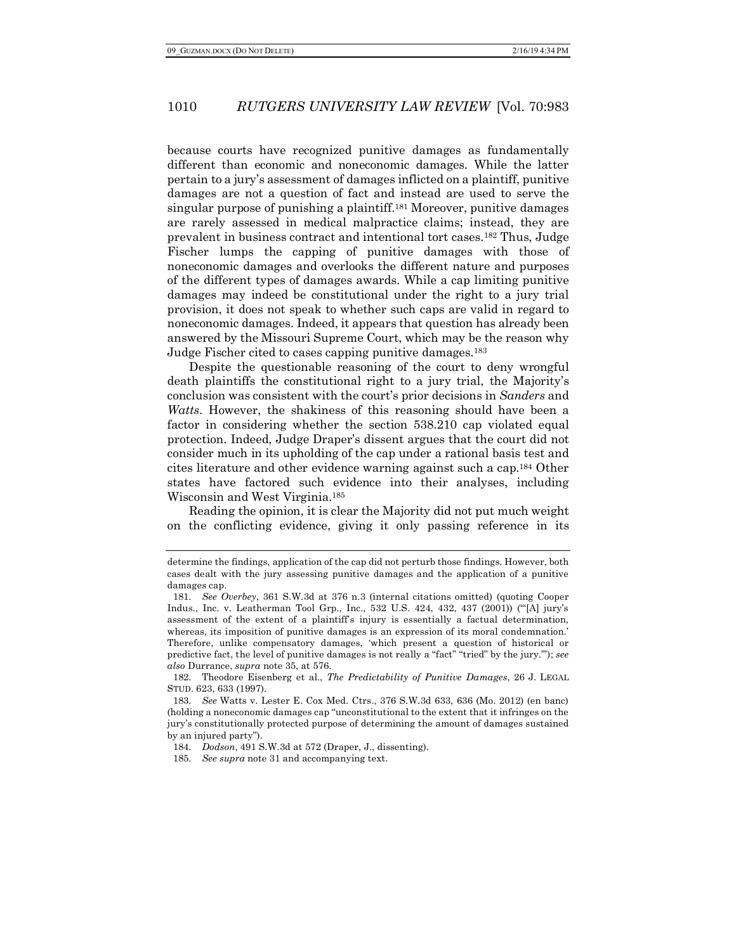because courts have recognized punitive damages as fundamentally different than economic and noneconomic damages. While the latter pertain to a jury's assessment of damages inflicted on a plaintiff, punitive damages are not a question of fact and instead are used to serve the singular purpose of punishing a plaintiff.181 Moreover, punitive damages are rarely assessed in medical malpractice claims; instead, they are prevalent in business contract and intentional tort cases.182 Thus, Judge Fischer lumps the capping of punitive damages with those of noneconomic damages and overlooks the different nature and purposes of the different types of damages awards. While a cap limiting punitive damages may indeed be constitutional under the right to a jury trial provision, it does not speak to whether such caps are valid in regard to noneconomic damages. Indeed, it appears that question has already been answered by the Missouri Supreme Court, which may be the reason why Judge Fischer cited to cases capping punitive damages.183

Despite the questionable reasoning of the court to deny wrongful death plaintiffs the constitutional right to a jury trial, the Majority's conclusion was consistent with the court's prior decisions in *Sanders* and *Watts*. However, the shakiness of this reasoning should have been a factor in considering whether the section 538.210 cap violated equal protection. Indeed, Judge Draper's dissent argues that the court did not consider much in its upholding of the cap under a rational basis test and cites literature and other evidence warning against such a cap.184 Other states have factored such evidence into their analyses, including Wisconsin and West Virginia.185

Reading the opinion, it is clear the Majority did not put much weight on the conflicting evidence, giving it only passing reference in its

determine the findings, application of the cap did not perturb those findings. However, both cases dealt with the jury assessing punitive damages and the application of a punitive damages cap.

<sup>181.</sup> *See Overbey*, 361 S.W.3d at 376 n.3 (internal citations omitted) (quoting Cooper Indus., Inc. v. Leatherman Tool Grp., Inc., 532 U.S. 424, 432, 437 (2001)) ("'[A] jury's assessment of the extent of a plaintiff's injury is essentially a factual determination, whereas, its imposition of punitive damages is an expression of its moral condemnation.' Therefore, unlike compensatory damages, 'which present a question of historical or predictive fact, the level of punitive damages is not really a "fact" "tried" by the jury.'"); *see also* Durrance, *supra* note 35, at 576.

<sup>182.</sup> Theodore Eisenberg et al., *The Predictability of Punitive Damages*, 26 J. LEGAL STUD. 623, 633 (1997).

<sup>183.</sup> *See* Watts v. Lester E. Cox Med. Ctrs., 376 S.W.3d 633, 636 (Mo. 2012) (en banc) (holding a noneconomic damages cap "unconstitutional to the extent that it infringes on the jury's constitutionally protected purpose of determining the amount of damages sustained by an injured party").

<sup>184.</sup> *Dodson*, 491 S.W.3d at 572 (Draper, J., dissenting).

<sup>185.</sup> *See supra* note 31 and accompanying text.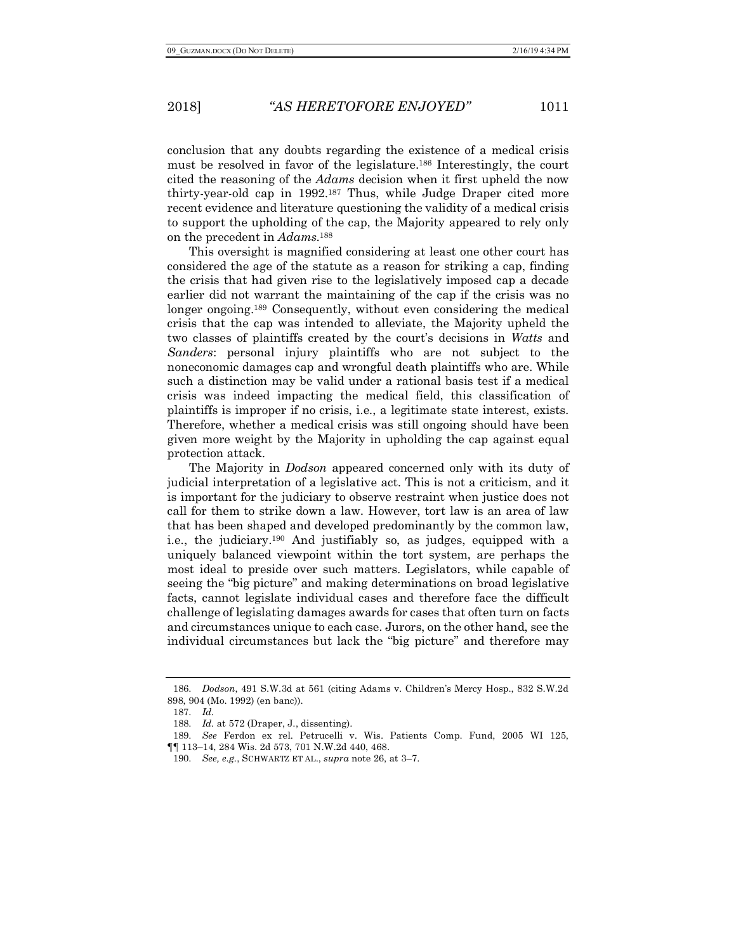conclusion that any doubts regarding the existence of a medical crisis must be resolved in favor of the legislature.186 Interestingly, the court cited the reasoning of the *Adams* decision when it first upheld the now thirty-year-old cap in 1992.187 Thus, while Judge Draper cited more recent evidence and literature questioning the validity of a medical crisis to support the upholding of the cap, the Majority appeared to rely only on the precedent in *Adams*.188

This oversight is magnified considering at least one other court has considered the age of the statute as a reason for striking a cap, finding the crisis that had given rise to the legislatively imposed cap a decade earlier did not warrant the maintaining of the cap if the crisis was no longer ongoing.<sup>189</sup> Consequently, without even considering the medical crisis that the cap was intended to alleviate, the Majority upheld the two classes of plaintiffs created by the court's decisions in *Watts* and *Sanders*: personal injury plaintiffs who are not subject to the noneconomic damages cap and wrongful death plaintiffs who are. While such a distinction may be valid under a rational basis test if a medical crisis was indeed impacting the medical field, this classification of plaintiffs is improper if no crisis, i.e., a legitimate state interest, exists. Therefore, whether a medical crisis was still ongoing should have been given more weight by the Majority in upholding the cap against equal protection attack.

The Majority in *Dodson* appeared concerned only with its duty of judicial interpretation of a legislative act. This is not a criticism, and it is important for the judiciary to observe restraint when justice does not call for them to strike down a law. However, tort law is an area of law that has been shaped and developed predominantly by the common law, i.e., the judiciary.190 And justifiably so, as judges, equipped with a uniquely balanced viewpoint within the tort system, are perhaps the most ideal to preside over such matters. Legislators, while capable of seeing the "big picture" and making determinations on broad legislative facts, cannot legislate individual cases and therefore face the difficult challenge of legislating damages awards for cases that often turn on facts and circumstances unique to each case. Jurors, on the other hand, see the individual circumstances but lack the "big picture" and therefore may

<sup>186.</sup> *Dodson*, 491 S.W.3d at 561 (citing Adams v. Children's Mercy Hosp., 832 S.W.2d 898, 904 (Mo. 1992) (en banc)).

<sup>187.</sup> *Id.*

<sup>188.</sup> *Id.* at 572 (Draper, J., dissenting).

<sup>189.</sup> *See* Ferdon ex rel. Petrucelli v. Wis. Patients Comp. Fund, 2005 WI 125, ¶¶ 113–14, 284 Wis. 2d 573, 701 N.W.2d 440, 468.

<sup>190.</sup> *See, e.g.*, SCHWARTZ ET AL., *supra* note 26, at 3–7.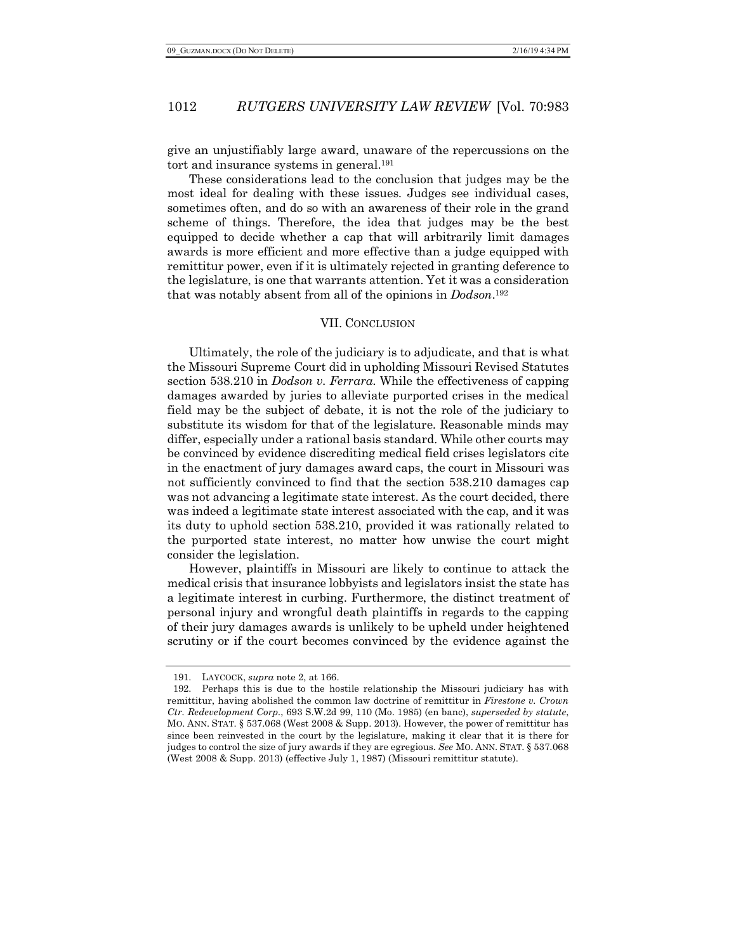give an unjustifiably large award, unaware of the repercussions on the tort and insurance systems in general.191

These considerations lead to the conclusion that judges may be the most ideal for dealing with these issues. Judges see individual cases, sometimes often, and do so with an awareness of their role in the grand scheme of things. Therefore, the idea that judges may be the best equipped to decide whether a cap that will arbitrarily limit damages awards is more efficient and more effective than a judge equipped with remittitur power, even if it is ultimately rejected in granting deference to the legislature, is one that warrants attention. Yet it was a consideration that was notably absent from all of the opinions in *Dodson*.192

### VII. CONCLUSION

Ultimately, the role of the judiciary is to adjudicate, and that is what the Missouri Supreme Court did in upholding Missouri Revised Statutes section 538.210 in *Dodson v. Ferrara*. While the effectiveness of capping damages awarded by juries to alleviate purported crises in the medical field may be the subject of debate, it is not the role of the judiciary to substitute its wisdom for that of the legislature. Reasonable minds may differ, especially under a rational basis standard. While other courts may be convinced by evidence discrediting medical field crises legislators cite in the enactment of jury damages award caps, the court in Missouri was not sufficiently convinced to find that the section 538.210 damages cap was not advancing a legitimate state interest. As the court decided, there was indeed a legitimate state interest associated with the cap, and it was its duty to uphold section 538.210, provided it was rationally related to the purported state interest, no matter how unwise the court might consider the legislation.

However, plaintiffs in Missouri are likely to continue to attack the medical crisis that insurance lobbyists and legislators insist the state has a legitimate interest in curbing. Furthermore, the distinct treatment of personal injury and wrongful death plaintiffs in regards to the capping of their jury damages awards is unlikely to be upheld under heightened scrutiny or if the court becomes convinced by the evidence against the

<sup>191.</sup> LAYCOCK, *supra* note 2, at 166.

<sup>192.</sup> Perhaps this is due to the hostile relationship the Missouri judiciary has with remittitur, having abolished the common law doctrine of remittitur in *Firestone v. Crown Ctr. Redevelopment Corp.*, 693 S.W.2d 99, 110 (Mo. 1985) (en banc), *superseded by statute*, MO. ANN. STAT. § 537.068 (West 2008 & Supp. 2013). However, the power of remittitur has since been reinvested in the court by the legislature, making it clear that it is there for judges to control the size of jury awards if they are egregious. *See* MO. ANN. STAT. § 537.068 (West 2008 & Supp. 2013) (effective July 1, 1987) (Missouri remittitur statute).